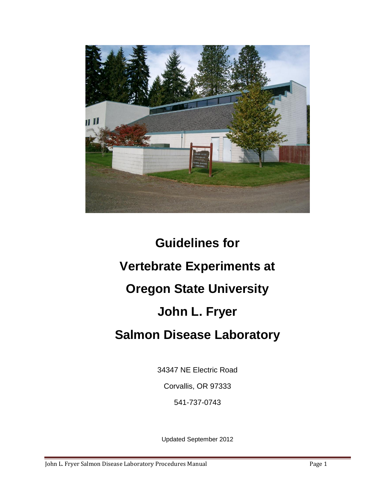

# **Guidelines for Vertebrate Experiments at Oregon State University John L. Fryer Salmon Disease Laboratory**

34347 NE Electric Road

Corvallis, OR 97333

541-737-0743

Updated September 2012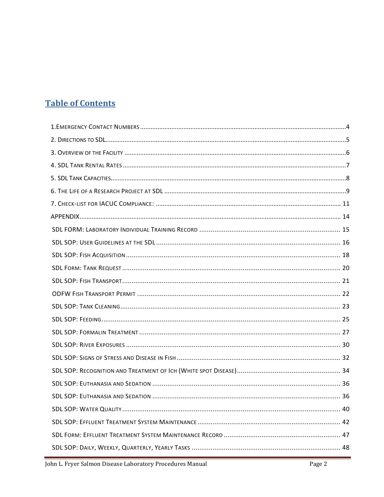# **Table of Contents**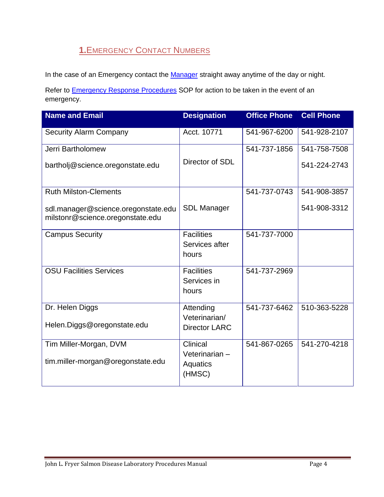# **1.**EMERGENCY CONTACT NUMBERS

<span id="page-3-0"></span>In the case of an Emergency contact the [Manager](#page-3-1) straight away anytime of the day or night.

Refer to **Emergency Response Procedures** SOP for action to be taken in the event of an emergency.

<span id="page-3-2"></span><span id="page-3-1"></span>

| <b>Name and Email</b>                                                   | <b>Designation</b>                  | <b>Office Phone</b> | <b>Cell Phone</b> |
|-------------------------------------------------------------------------|-------------------------------------|---------------------|-------------------|
| <b>Security Alarm Company</b>                                           | Acct. 10771                         | 541-967-6200        | 541-928-2107      |
| Jerri Bartholomew                                                       |                                     | 541-737-1856        | 541-758-7508      |
| bartholj@science.oregonstate.edu                                        | Director of SDL                     |                     | 541-224-2743      |
| <b>Ruth Milston-Clements</b>                                            |                                     | 541-737-0743        | 541-908-3857      |
| sdl.manager@science.oregonstate.edu<br>milstonr@science.oregonstate.edu | <b>SDL Manager</b>                  |                     | 541-908-3312      |
| <b>Campus Security</b>                                                  | <b>Facilities</b>                   | 541-737-7000        |                   |
|                                                                         | Services after<br>hours             |                     |                   |
| <b>OSU Facilities Services</b>                                          | <b>Facilities</b>                   | 541-737-2969        |                   |
|                                                                         | Services in<br>hours                |                     |                   |
| Dr. Helen Diggs                                                         | Attending<br>Veterinarian/          | 541-737-6462        | 510-363-5228      |
| Helen.Diggs@oregonstate.edu                                             | <b>Director LARC</b>                |                     |                   |
| Tim Miller-Morgan, DVM                                                  | Clinical                            | 541-867-0265        | 541-270-4218      |
| tim.miller-morgan@oregonstate.edu                                       | Veterinarian-<br>Aquatics<br>(HMSC) |                     |                   |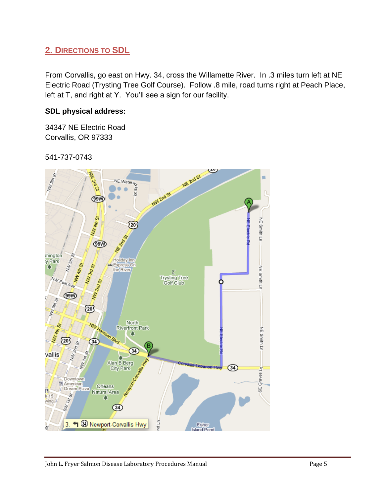# <span id="page-4-0"></span>**2. DIRECTIONS TO SDL**

From Corvallis, go east on Hwy. 34, cross the Willamette River. In .3 miles turn left at NE Electric Road (Trysting Tree Golf Course). Follow .8 mile, road turns right at Peach Place, left at T, and right at Y. You'll see a sign for our facility.

# **SDL physical address:**

34347 NE Electric Road Corvallis, OR 97333

541-737-0743

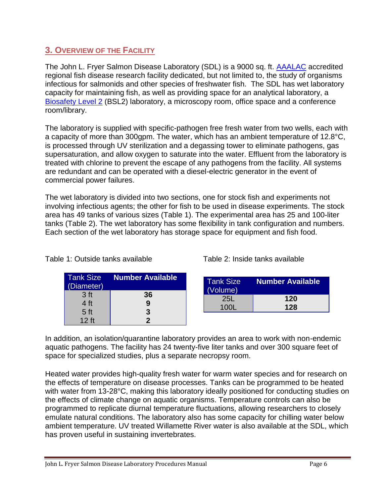# <span id="page-5-0"></span>**3. OVERVIEW OF THE FACILITY**

The John L. Fryer Salmon Disease Laboratory (SDL) is a 9000 sq. ft. [AAALAC](http://www.aaalac.org/about/council.cfm) accredited regional fish disease research facility dedicated, but not limited to, the study of organisms infectious for salmonids and other species of freshwater fish. The SDL has wet laboratory capacity for maintaining fish, as well as providing space for an analytical laboratory, a [Biosafety Level 2](http://oregonstate.edu/ehs/bio/manual-appendixB-1) (BSL2) laboratory, a microscopy room, office space and a conference room/library.

The laboratory is supplied with specific-pathogen free fresh water from two wells, each with a capacity of more than 300gpm. The water, which has an ambient temperature of 12.8°C, is processed through UV sterilization and a degassing tower to eliminate pathogens, gas supersaturation, and allow oxygen to saturate into the water. Effluent from the laboratory is treated with chlorine to prevent the escape of any pathogens from the facility. All systems are redundant and can be operated with a diesel-electric generator in the event of commercial power failures.

The wet laboratory is divided into two sections, one for stock fish and experiments not involving infectious agents; the other for fish to be used in disease experiments. The stock area has 49 tanks of various sizes (Table 1). The experimental area has 25 and 100-liter tanks (Table 2). The wet laboratory has some flexibility in tank configuration and numbers. Each section of the wet laboratory has storage space for equipment and fish food.

| <b>Tank Size</b><br>(Diameter) | <b>Number Available</b> |
|--------------------------------|-------------------------|
| 3 <sub>ft</sub>                | 36                      |
| 4 <sub>ft</sub>                | 9                       |
| 5 <sub>ft</sub>                | 3                       |
| $12$ ft                        |                         |

Table 1: Outside tanks available Table 2: Inside tanks available

| <b>Tank Size</b><br>(Volume) | <b>Number Available</b> |
|------------------------------|-------------------------|
| <b>25L</b>                   | 120                     |
| 100L                         | 128                     |

In addition, an isolation/quarantine laboratory provides an area to work with non-endemic aquatic pathogens. The facility has 24 twenty-five liter tanks and over 300 square feet of space for specialized studies, plus a separate necropsy room.

Heated water provides high-quality fresh water for warm water species and for research on the effects of temperature on disease processes. Tanks can be programmed to be heated with water from 13-28°C, making this laboratory ideally positioned for conducting studies on the effects of climate change on aquatic organisms. Temperature controls can also be programmed to replicate diurnal temperature fluctuations, allowing researchers to closely emulate natural conditions. The laboratory also has some capacity for chilling water below ambient temperature. UV treated Willamette River water is also available at the SDL, which has proven useful in sustaining invertebrates.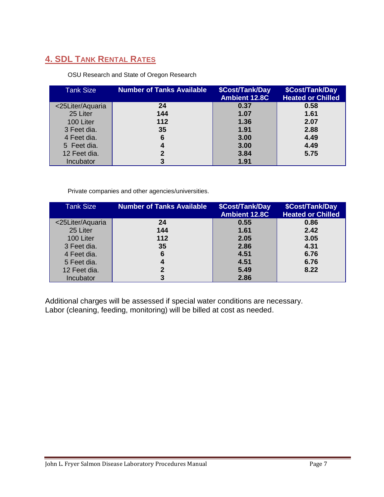# <span id="page-6-0"></span>**4. SDL TANK RENTAL RATES**

#### OSU Research and State of Oregon Research

| <b>Tank Size</b> | Number of Tanks Available | \$Cost/Tank/Day<br><b>Ambient 12.8C</b> | <b>\$Cost/Tank/Day</b><br><b>Heated or Chilled</b> |
|------------------|---------------------------|-----------------------------------------|----------------------------------------------------|
| <25Liter/Aquaria | 24                        | 0.37                                    | 0.58                                               |
| 25 Liter         | 144                       | 1.07                                    | 1.61                                               |
| 100 Liter        | 112                       | 1.36                                    | 2.07                                               |
| 3 Feet dia.      | 35                        | 1.91                                    | 2.88                                               |
| 4 Feet dia.      | 6                         | 3.00                                    | 4.49                                               |
| 5 Feet dia.      | 4                         | 3.00                                    | 4.49                                               |
| 12 Feet dia.     | 2                         | 3.84                                    | 5.75                                               |
| Incubator        | 3                         | 1.91                                    |                                                    |

Private companies and other agencies/universities.

| <b>Tank Size</b> | <b>Number of Tanks Available</b> | \$Cost/Tank/Day<br><b>Ambient 12.8C</b> | \$Cost/Tank/Day<br><b>Heated or Chilled</b> |
|------------------|----------------------------------|-----------------------------------------|---------------------------------------------|
| <25Liter/Aquaria | 24                               | 0.55                                    | 0.86                                        |
| 25 Liter         | 144                              | 1.61                                    | 2.42                                        |
| 100 Liter        | 112                              | 2.05                                    | 3.05                                        |
| 3 Feet dia.      | 35                               | 2.86                                    | 4.31                                        |
| 4 Feet dia.      | 6                                | 4.51                                    | 6.76                                        |
| 5 Feet dia.      | 4                                | 4.51                                    | 6.76                                        |
| 12 Feet dia.     | 2                                | 5.49                                    | 8.22                                        |
| Incubator        | 3                                | 2.86                                    |                                             |

Additional charges will be assessed if special water conditions are necessary. Labor (cleaning, feeding, monitoring) will be billed at cost as needed.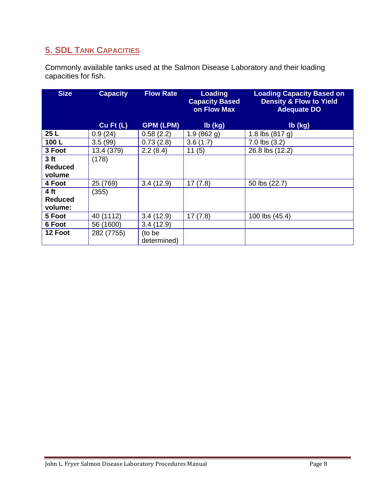# <span id="page-7-0"></span>**5. SDL TANK CAPACITIES**

Commonly available tanks used at the Salmon Disease Laboratory and their loading capacities for fish.

| <b>Size</b>     | <b>Capacity</b> | <b>Flow Rate</b> | <b>Loading</b><br><b>Capacity Based</b><br>on Flow Max | <b>Loading Capacity Based on</b><br><b>Density &amp; Flow to Yield</b><br><b>Adequate DO</b> |
|-----------------|-----------------|------------------|--------------------------------------------------------|----------------------------------------------------------------------------------------------|
|                 | $Cu$ Ft $(L)$   | <b>GPM (LPM)</b> | lb (kg)                                                | lb (kg)                                                                                      |
| 25 L            | 0.9(24)         | 0.58(2.2)        | 1.9(862 g)                                             | 1.8 lbs $(817 g)$                                                                            |
| 100L            | 3.5(99)         | 0.73(2.8)        | 3.6(1.7)                                               | $7.0$ lbs $(3.2)$                                                                            |
| 3 Foot          | 13.4 (379)      | 2.2(8.4)         | 11(5)                                                  | 26.8 lbs (12.2)                                                                              |
| 3 <sub>ft</sub> | (178)           |                  |                                                        |                                                                                              |
| <b>Reduced</b>  |                 |                  |                                                        |                                                                                              |
| volume          |                 |                  |                                                        |                                                                                              |
| 4 Foot          | 25 (769)        | 3.4(12.9)        | 17(7.8)                                                | 50 lbs (22.7)                                                                                |
| 4 ft            | (355)           |                  |                                                        |                                                                                              |
| <b>Reduced</b>  |                 |                  |                                                        |                                                                                              |
| volume:         |                 |                  |                                                        |                                                                                              |
| 5 Foot          | 40 (1112)       | 3.4(12.9)        | 17(7.8)                                                | 100 lbs (45.4)                                                                               |
| 6 Foot          | 56 (1600)       | 3.4(12.9)        |                                                        |                                                                                              |
| 12 Foot         | 282 (7755)      | (to be           |                                                        |                                                                                              |
|                 |                 | determined)      |                                                        |                                                                                              |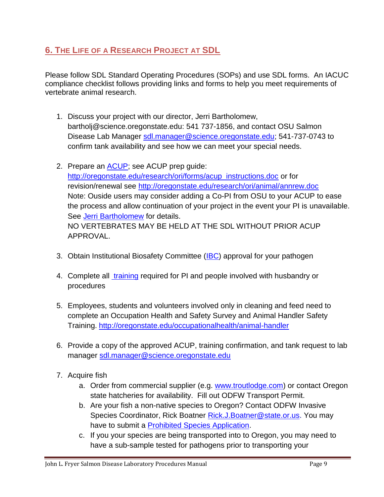# <span id="page-8-0"></span>**6. THE LIFE OF A RESEARCH PROJECT AT SDL**

Please follow SDL Standard Operating Procedures (SOPs) and use SDL forms. An IACUC compliance checklist follows providing links and forms to help you meet requirements of vertebrate animal research.

- 1. Discuss your project with our director, Jerri Bartholomew, bartholj@science.oregonstate.edu: 541 737-1856, and contact OSU Salmon Disease Lab Manager [sdl.manager@science.oregonstate.edu;](mailto:sdl.manager@science.oregonstate.edu) 541-737-0743 to confirm tank availability and see how we can meet your special needs.
- 2. Prepare an [ACUP;](#page-10-1) see ACUP prep quide: [http://oregonstate.edu/research/ori/forms/acup\\_instructions.doc](http://oregonstate.edu/research/ori/forms/acup_instructions.doc) or for revision/renewal see<http://oregonstate.edu/research/ori/animal/annrew.doc> Note: Ouside users may consider adding a Co-PI from OSU to your ACUP to ease the process and allow continuation of your project in the event your PI is unavailable. See [Jerri Bartholomew](#page-3-2) for details. NO VERTEBRATES MAY BE HELD AT THE SDL WITHOUT PRIOR ACUP APPROVAL.
- 3. Obtain Institutional Biosafety Committee [\(IBC\)](#page-10-2) approval for your pathogen
- 4. Complete all *training* required for PI and people involved with husbandry or procedures
- 5. Employees, students and volunteers involved only in cleaning and feed need to complete an Occupation Health and Safety Survey and Animal Handler Safety Training. [http://oregonstate.edu/occupationalhealth/animal-handler](https://legacy.oregonstate.edu/owa/redir.aspx?C=c187004c2e0548e39dea0eef367deda0&URL=http%3a%2f%2foregonstate.edu%2foccupationalhealth%2fanimal-handler)
- 6. Provide a copy of the approved ACUP, training confirmation, and tank request to lab manager [sdl.manager@science.oregonstate.edu](mailto:sdl.manager@science.oregonstate.edu)
- 7. Acquire fish
	- a. Order from commercial supplier (e.g. [www.troutlodge.com\)](http://www.troutlodge.com/) or contact Oregon state hatcheries for availability. Fill out ODFW Transport Permit.
	- b. Are your fish a non-native species to Oregon? Contact ODFW Invasive Species Coordinator, Rick Boatner [Rick.J.Boatner@state.or.us.](mailto:Rick.J.Boatner@state.or.us) You may have to submit a [Prohibited Species Application.](#page-52-0)
	- c. If you your species are being transported into to Oregon, you may need to have a sub-sample tested for pathogens prior to transporting your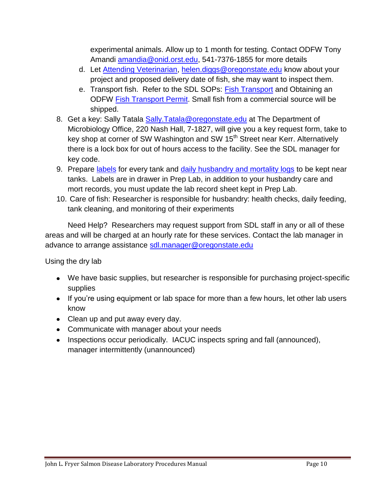experimental animals. Allow up to 1 month for testing. Contact ODFW Tony Amandi [amandia@onid.orst.edu,](mailto:amandia@onid.orst.edu) 541-7376-1855 for more details

- d. Let [Attending Veterinarian,](#page-12-0) [helen.diggs@oregonstate.edu](mailto:helen.diggs@oregonstate.edu) know about your project and proposed delivery date of fish, she may want to inspect them.
- e. Transport fish. Refer to the SDL SOPs: [Fish Transport](#page-20-0) and Obtaining an ODFW [Fish Transport Permit.](#page-20-1) Small fish from a commercial source will be shipped.
- 8. Get a key: Sally Tatala Sally. Tatala@oregonstate. edu at The Department of Microbiology Office, 220 Nash Hall, 7-1827, will give you a key request form, take to key shop at corner of SW Washington and SW 15<sup>th</sup> Street near Kerr. Alternatively there is a lock box for out of hours access to the facility. See the SDL manager for key code.
- 9. Prepare [labels](#page-53-0) for every tank and [daily husbandry and mortality logs](#page-50-0) to be kept near tanks. Labels are in drawer in Prep Lab, in addition to your husbandry care and mort records, you must update the lab record sheet kept in Prep Lab.
- 10. Care of fish: Researcher is responsible for husbandry: health checks, daily feeding, tank cleaning, and monitoring of their experiments

Need Help? Researchers may request support from SDL staff in any or all of these areas and will be charged at an hourly rate for these services. Contact the lab manager in advance to arrange assistance [sdl.manager@oregonstate.edu](mailto:sdl.manager@oregonstate.edu)

Using the dry lab

- We have basic supplies, but researcher is responsible for purchasing project-specific supplies
- If you're using equipment or lab space for more than a few hours, let other lab users know
- Clean up and put away every day.
- Communicate with manager about your needs
- Inspections occur periodically. IACUC inspects spring and fall (announced), manager intermittently (unannounced)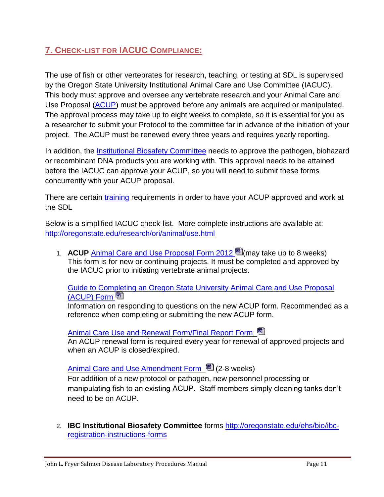# <span id="page-10-0"></span>**7. CHECK-LIST FOR IACUC COMPLIANCE:**

The use of fish or other vertebrates for research, teaching, or testing at SDL is supervised by the Oregon State University Institutional Animal Care and Use Committee (IACUC). This body must approve and oversee any vertebrate research and your Animal Care and Use Proposal [\(ACUP\)](#page-10-1) must be approved before any animals are acquired or manipulated. The approval process may take up to eight weeks to complete, so it is essential for you as a researcher to submit your Protocol to the committee far in advance of the initiation of your project. The ACUP must be renewed every three years and requires yearly reporting.

In addition, the *Institutional Biosafety Committee* needs to approve the pathogen, biohazard or recombinant DNA products you are working with. This approval needs to be attained before the IACUC can approve your ACUP, so you will need to submit these forms concurrently with your ACUP proposal.

There are certain [training](#page-11-0) requirements in order to have your ACUP approved and work at the SDL

Below is a simplified IACUC check-list. More complete instructions are available at: <http://oregonstate.edu/research/ori/animal/use.html>

<span id="page-10-1"></span>1. **ACUP** [Animal Care and Use Proposal Form 2012](http://oregonstate.edu/research/ori/animal/forms/acup.doc) <sup>na</sup> [\(](http://oregonstate.edu/research/ori/animal/forms/acup.doc)may take up to 8 weeks) This form is for new or continuing projects. It must be completed and approved by the IACUC prior to initiating vertebrate animal projects.

[Guide to Completing an Oregon State University Animal Care and Use Proposal](http://oregonstate.edu/research/ori/forms/acup_instructions.doc)  [\(ACUP\) Form](http://oregonstate.edu/research/ori/forms/acup_instructions.doc) 

Information on responding to questions on the new ACUP form. Recommended as a reference when completing or submitting the new ACUP form.

# [Animal Care Use and Renewal Form/Final Report Form](http://oregonstate.edu/research/ori/animal/annrew.doc)

An ACUP renewal form is required every year for renewal of approved projects and when an ACUP is closed/expired.

# [Animal Care and Use Amendment Form](http://oregonstate.edu/research/ori/animal/amendment.doc) <sup>[22]</sup> (2-8 weeks)

For addition of a new protocol or pathogen, new personnel processing or manipulating fish to an existing ACUP. Staff members simply cleaning tanks don't need to be on ACUP.

<span id="page-10-2"></span>2. **IBC Institutional Biosafety Committee** forms [http://oregonstate.edu/ehs/bio/ibc](http://oregonstate.edu/ehs/bio/ibc-registration-instructions-forms)[registration-instructions-forms](http://oregonstate.edu/ehs/bio/ibc-registration-instructions-forms)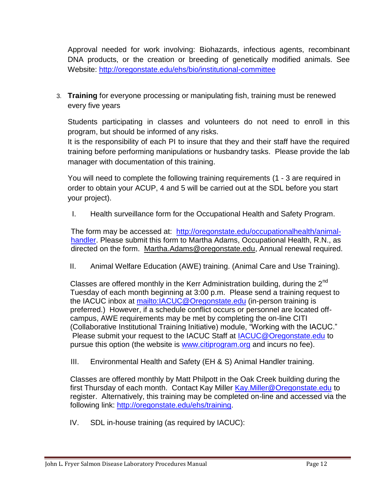Approval needed for work involving: Biohazards, infectious agents, recombinant DNA products, or the creation or breeding of genetically modified animals. See Website:<http://oregonstate.edu/ehs/bio/institutional-committee>

<span id="page-11-0"></span>3. **Training** for everyone processing or manipulating fish, training must be renewed every five years

Students participating in classes and volunteers do not need to enroll in this program, but should be informed of any risks.

It is the responsibility of each PI to insure that they and their staff have the required training before performing manipulations or husbandry tasks. Please provide the lab manager with documentation of this training.

You will need to complete the following training requirements (1 - 3 are required in order to obtain your ACUP, 4 and 5 will be carried out at the SDL before you start your project).

I. Health surveillance form for the Occupational Health and Safety Program.

The form may be accessed at: [http://oregonstate.edu/occupationalhealth/animal](http://oregonstate.edu/occupationalhealth/animal-handler)[handler.](http://oregonstate.edu/occupationalhealth/animal-handler) Please submit this form to Martha Adams, Occupational Health, R.N., as directed on the form. [Martha.Adams@oregonstate.edu,](mailto:Martha.Adams@oregonstate.edu) Annual renewal required.

II. Animal Welfare Education (AWE) training. (Animal Care and Use Training).

Classes are offered monthly in the Kerr Administration building, during the  $2<sup>nd</sup>$ Tuesday of each month beginning at 3:00 p.m. Please send a training request to the IACUC inbox at<mailto:IACUC@Oregonstate.edu> (in-person training is preferred.) However, if a schedule conflict occurs or personnel are located offcampus, AWE requirements may be met by completing the on-line CITI (Collaborative Institutional Training Initiative) module, "Working with the IACUC." Please submit your request to the IACUC Staff at [IACUC@Oregonstate.edu](mailto:IACUC@Oregonstate.edu) to pursue this option (the website is [www.citiprogram.org](http://www.citiprogram.org/) and incurs no fee).

III. Environmental Health and Safety (EH & S) Animal Handler training.

Classes are offered monthly by Matt Philpott in the Oak Creek building during the first Thursday of each month. Contact Kay Miller Kay. Miller@Oregonstate.edu to register. Alternatively, this training may be completed on-line and accessed via the following link: [http://oregonstate.edu/ehs/training.](http://oregonstate.edu/ehs/training)

<span id="page-11-1"></span>IV. SDL in-house training (as required by IACUC):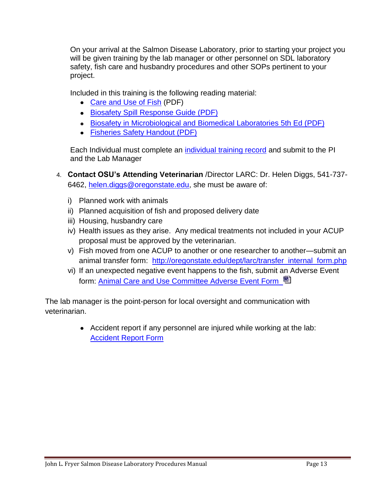On your arrival at the Salmon Disease Laboratory, prior to starting your project you will be given training by the lab manager or other personnel on SDL laboratory safety, fish care and husbandry procedures and other SOPs pertinent to your project.

Included in this training is the following reading material:

- [Care and Use of Fish](http://oregonstate.edu/occupationalhealth/sites/default/files/docs/fish.pdf) (PDF)
- [Biosafety Spill Response Guide \(PDF\)](http://oregonstate.edu/ehs/sites/default/files/pdf/biosafety-spill-response-guide.pdf)
- [Biosafety in Microbiological and Biomedical Laboratories 5th Ed \(PDF\)](http://www.cdc.gov/biosafety/publications/bmbl5/index.htm)
- [Fisheries Safety Handout \(PDF\)](http://fisheries.org/docs/policy_safety.pdf)

<span id="page-12-0"></span>Each Individual must complete an [individual training record](#page-13-0) and submit to the PI and the Lab Manager

- 4. **Contact OSU's Attending Veterinarian** /Director LARC: Dr. Helen Diggs, 541-737- 6462, [helen.diggs@oregonstate.edu,](mailto:helen.diggs@oregonstate.edu) she must be aware of:
	- i) Planned work with animals
	- ii) Planned acquisition of fish and proposed delivery date
	- iii) Housing, husbandry care
	- iv) Health issues as they arise. Any medical treatments not included in your ACUP proposal must be approved by the veterinarian.
	- v) Fish moved from one ACUP to another or one researcher to another—submit an animal transfer form: [http://oregonstate.edu/dept/larc/transfer\\_internal\\_form.php](http://oregonstate.edu/dept/larc/transfer_internal_form.php)
	- vi) If an unexpected negative event happens to the fish, submit an Adverse Event form: [Animal Care and Use Committee Adverse Event Form](http://oregonstate.edu/research/ori/animal/adevent.doc) <sup>囤</sup>

The lab manager is the point-person for local oversight and communication with veterinarian.

> Accident report if any personnel are injured while working at the lab: **[Accident Report Form](http://oregonstate.edu/admin/hr/benefits/roa.pdf)**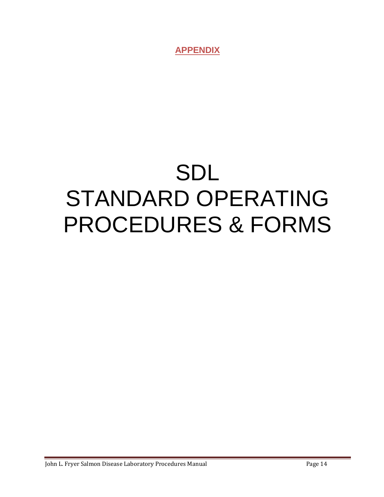**APPENDIX**

# <span id="page-13-0"></span>SDL STANDARD OPERATING PROCEDURES & FORMS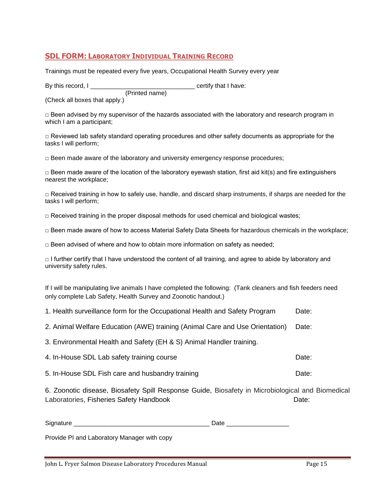# <span id="page-14-0"></span>**SDL FORM: LABORATORY INDIVIDUAL TRAINING RECORD**

Trainings must be repeated every five years, Occupational Health Survey every year

By this record, I \_\_\_\_\_\_\_\_\_\_\_\_\_\_\_\_\_\_\_\_\_\_\_\_\_\_\_\_\_\_ certify that I have: (Printed name)

(Check all boxes that apply.)

 $\Box$  Been advised by my supervisor of the hazards associated with the laboratory and research program in which I am a participant;

 $\Box$  Reviewed lab safety standard operating procedures and other safety documents as appropriate for the tasks I will perform;

 $\Box$  Been made aware of the laboratory and university emergency response procedures;

 $\Box$  Been made aware of the location of the laboratory eyewash station, first aid kit(s) and fire extinguishers nearest the workplace;

 $\Box$  Received training in how to safely use, handle, and discard sharp instruments, if sharps are needed for the tasks I will perform;

 $\Box$  Received training in the proper disposal methods for used chemical and biological wastes;

□ Been made aware of how to access Material Safety Data Sheets for hazardous chemicals in the workplace;

 $\Box$  Been advised of where and how to obtain more information on safety as needed;

□ I further certify that I have understood the content of all training, and agree to abide by laboratory and university safety rules.

If I will be manipulating live animals I have completed the following: (Tank cleaners and fish feeders need only complete Lab Safety, Health Survey and Zoonotic handout.)

1. Health surveillance form for the Occupational Health and Safety Program Date:

2. Animal Welfare Education (AWE) training (Animal Care and Use Orientation) Date:

3. Environmental Health and Safety (EH & S) Animal Handler training.

4. In-House SDL Lab safety training course Date:

5. In-House SDL Fish care and husbandry training Date: Date:

6. Zoonotic disease, Biosafety Spill Response Guide, Biosafety in Microbiological and Biomedical Laboratories, Fisheries Safety Handbook Date:

Signature **Example 20** and the set of the set of the set of the Date  $\Box$  Date  $\Box$ 

Provide PI and Laboratory Manager with copy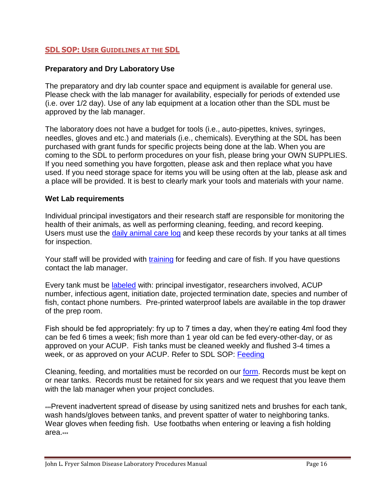# <span id="page-15-0"></span>**SDL SOP: USER GUIDELINES AT THE SDL**

# **Preparatory and Dry Laboratory Use**

The preparatory and dry lab counter space and equipment is available for general use. Please check with the lab manager for availability, especially for periods of extended use (i.e. over 1/2 day). Use of any lab equipment at a location other than the SDL must be approved by the lab manager.

The laboratory does not have a budget for tools (i.e., auto-pipettes, knives, syringes, needles, gloves and etc.) and materials (i.e., chemicals). Everything at the SDL has been purchased with grant funds for specific projects being done at the lab. When you are coming to the SDL to perform procedures on your fish, please bring your OWN SUPPLIES. If you need something you have forgotten, please ask and then replace what you have used. If you need storage space for items you will be using often at the lab, please ask and a place will be provided. It is best to clearly mark your tools and materials with your name.

#### **Wet Lab requirements**

Individual principal investigators and their research staff are responsible for monitoring the health of their animals, as well as performing cleaning, feeding, and record keeping. Users must use the [daily animal care log](#page-50-0) and keep these records by your tanks at all times for inspection.

Your staff will be provided with [training](#page-11-1) for feeding and care of fish. If you have questions contact the lab manager.

Every tank must be [labeled](#page-53-0) with: principal investigator, researchers involved, ACUP number, infectious agent, initiation date, projected termination date, species and number of fish, contact phone numbers. Pre-printed waterproof labels are available in the top drawer of the prep room.

Fish should be fed appropriately: fry up to 7 times a day, when they're eating 4ml food they can be fed 6 times a week; fish more than 1 year old can be fed every-other-day, or as approved on your ACUP. Fish tanks must be cleaned weekly and flushed 3-4 times a week, or as approved on your ACUP. Refer to SDL SOP: [Feeding](#page-24-0)

Cleaning, feeding, and mortalities must be recorded on our [form.](#page-50-0) Records must be kept on or near tanks. Records must be retained for six years and we request that you leave them with the lab manager when your project concludes.

\*\*\*Prevent inadvertent spread of disease by using sanitized nets and brushes for each tank, wash hands/gloves between tanks, and prevent spatter of water to neighboring tanks. Wear gloves when feeding fish. Use footbaths when entering or leaving a fish holding area.\*\*\*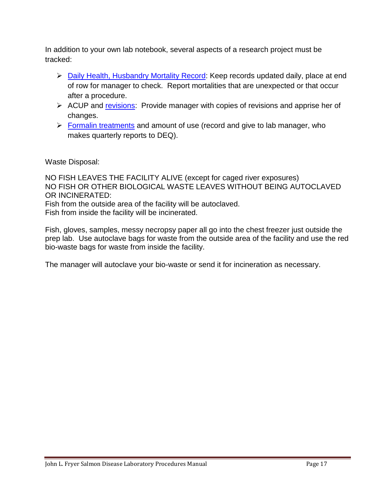In addition to your own lab notebook, several aspects of a research project must be tracked:

- [Daily Health, Husbandry Mortality Record:](#page-50-0) Keep records updated daily, place at end of row for manager to check. Report mortalities that are unexpected or that occur after a procedure.
- $\triangleright$  ACUP and revisions: Provide manager with copies of revisions and apprise her of changes.
- $\triangleright$  [Formalin treatments](#page-26-0) and amount of use (record and give to lab manager, who makes quarterly reports to DEQ).

Waste Disposal:

NO FISH LEAVES THE FACILITY ALIVE (except for caged river exposures) NO FISH OR OTHER BIOLOGICAL WASTE LEAVES WITHOUT BEING AUTOCLAVED OR INCINERATED:

Fish from the outside area of the facility will be autoclaved. Fish from inside the facility will be incinerated.

Fish, gloves, samples, messy necropsy paper all go into the chest freezer just outside the prep lab. Use autoclave bags for waste from the outside area of the facility and use the red bio-waste bags for waste from inside the facility.

The manager will autoclave your bio-waste or send it for incineration as necessary.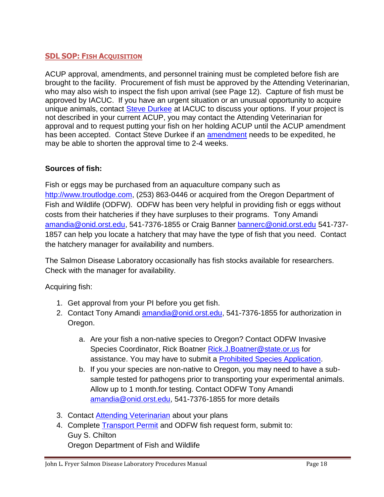# <span id="page-17-0"></span>**SDL SOP: FISH ACQUISITION**

ACUP approval, amendments, and personnel training must be completed before fish are brought to the facility. Procurement of fish must be approved by the Attending Veterinarian, who may also wish to inspect the fish upon arrival (see Page 12). Capture of fish must be approved by IACUC. If you have an urgent situation or an unusual opportunity to acquire unique animals, contact [Steve Durkee](mailto:IACUC@oregonstate.edu) at IACUC to discuss your options. If your project is not described in your current ACUP, you may contact the Attending Veterinarian for approval and to request putting your fish on her holding ACUP until the ACUP amendment has been accepted. Contact Steve Durkee if an amendment needs to be expedited, he may be able to shorten the approval time to 2-4 weeks.

# **Sources of fish:**

Fish or eggs may be purchased from an aquaculture company such as [http://www.troutlodge.com,](http://www.troutlodge.com/) (253) 863-0446 or acquired from the Oregon Department of Fish and Wildlife (ODFW). ODFW has been very helpful in providing fish or eggs without costs from their hatcheries if they have surpluses to their programs. Tony Amandi [amandia@onid.orst.edu,](mailto:amandia@onid.orst.edu) 541-7376-1855 or Craig Banner [bannerc@onid.orst.edu](mailto:bannerc@onid.orst.edu) 541-737- 1857 can help you locate a hatchery that may have the type of fish that you need. Contact the hatchery manager for availability and numbers.

The Salmon Disease Laboratory occasionally has fish stocks available for researchers. Check with the manager for availability.

Acquiring fish:

- 1. Get approval from your PI before you get fish.
- 2. Contact Tony Amandi [amandia@onid.orst.edu,](mailto:amandia@onid.orst.edu) 541-7376-1855 for authorization in Oregon.
	- a. Are your fish a non-native species to Oregon? Contact ODFW Invasive Species Coordinator, Rick Boatner Rick.J. Boatner@state.or.us for assistance. You may have to submit a [Prohibited Species Application.](#page-52-0)
	- b. If you your species are non-native to Oregon, you may need to have a subsample tested for pathogens prior to transporting your experimental animals. Allow up to 1 month.for testing. Contact ODFW Tony Amandi [amandia@onid.orst.edu,](mailto:amandia@onid.orst.edu) 541-7376-1855 for more details
- 3. Contact [Attending Veterinarian](mailto:Helen.Diggs@oregonstate.edu) about your plans
- 4. Complete [Transport Permit](#page-20-1) and ODFW fish request form, submit to: Guy S. Chilton Oregon Department of Fish and Wildlife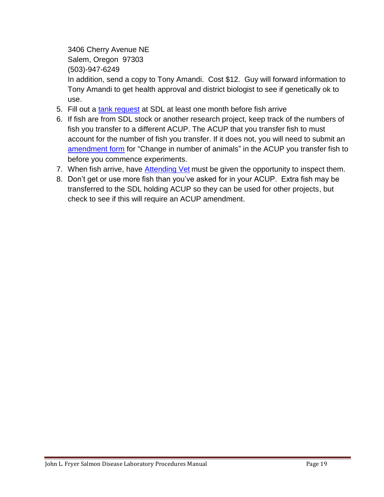3406 Cherry Avenue NE

Salem, Oregon 97303

(503)-947-6249

In addition, send a copy to Tony Amandi. Cost \$12. Guy will forward information to Tony Amandi to get health approval and district biologist to see if genetically ok to use.

- 5. Fill out a [tank request](#page-19-0) at SDL at least one month before fish arrive
- 6. If fish are from SDL stock or another research project, keep track of the numbers of fish you transfer to a different ACUP. The ACUP that you transfer fish to must account for the number of fish you transfer. If it does not, you will need to submit an amendment form for "Change in number of animals" in the ACUP you transfer fish to before you commence experiments.
- 7. When fish arrive, have [Attending Vet](mailto:Helen.Diggs@oregonstate.edu) must be given the opportunity to inspect them.
- 8. Don't get or use more fish than you've asked for in your ACUP. Extra fish may be transferred to the SDL holding ACUP so they can be used for other projects, but check to see if this will require an ACUP amendment.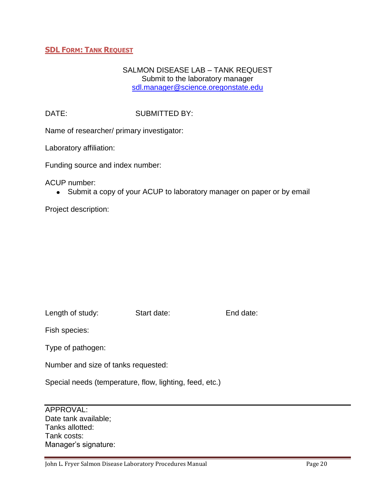# <span id="page-19-0"></span>**SDL FORM: TANK REQUEST**

# SALMON DISEASE LAB – TANK REQUEST Submit to the laboratory manager [sdl.manager@science.oregonstate.edu](mailto:sdl.manager@science.oregonstate.edu)

DATE: SUBMITTED BY:

Name of researcher/ primary investigator:

Laboratory affiliation:

Funding source and index number:

ACUP number:

• Submit a copy of your ACUP to laboratory manager on paper or by email

Project description:

Length of study: Start date: End date:

Fish species:

Type of pathogen:

Number and size of tanks requested:

Special needs (temperature, flow, lighting, feed, etc.)

APPROVAL: Date tank available; Tanks allotted: Tank costs: Manager's signature: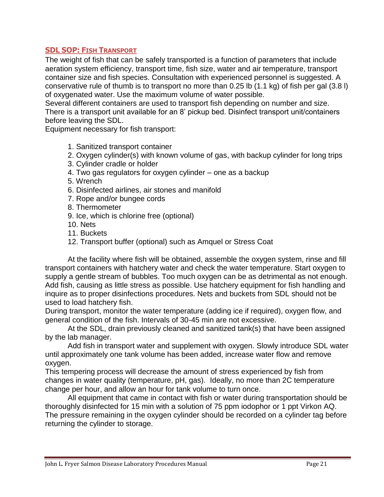# <span id="page-20-0"></span>**SDL SOP: FISH TRANSPORT**

The weight of fish that can be safely transported is a function of parameters that include aeration system efficiency, transport time, fish size, water and air temperature, transport container size and fish species. Consultation with experienced personnel is suggested. A conservative rule of thumb is to transport no more than 0.25 lb (1.1 kg) of fish per gal (3.8 l) of oxygenated water. Use the maximum volume of water possible.

Several different containers are used to transport fish depending on number and size. There is a transport unit available for an 8' pickup bed. Disinfect transport unit/containers before leaving the SDL.

Equipment necessary for fish transport:

- 1. Sanitized transport container
- 2. Oxygen cylinder(s) with known volume of gas, with backup cylinder for long trips
- 3. Cylinder cradle or holder
- 4. Two gas regulators for oxygen cylinder one as a backup
- 5. Wrench
- 6. Disinfected airlines, air stones and manifold
- 7. Rope and/or bungee cords
- 8. Thermometer
- 9. Ice, which is chlorine free (optional)
- 10. Nets
- 11. Buckets
- 12. Transport buffer (optional) such as Amquel or Stress Coat

At the facility where fish will be obtained, assemble the oxygen system, rinse and fill transport containers with hatchery water and check the water temperature. Start oxygen to supply a gentle stream of bubbles. Too much oxygen can be as detrimental as not enough. Add fish, causing as little stress as possible. Use hatchery equipment for fish handling and inquire as to proper disinfections procedures. Nets and buckets from SDL should not be used to load hatchery fish.

During transport, monitor the water temperature (adding ice if required), oxygen flow, and general condition of the fish. Intervals of 30-45 min are not excessive.

At the SDL, drain previously cleaned and sanitized tank(s) that have been assigned by the lab manager.

Add fish in transport water and supplement with oxygen. Slowly introduce SDL water until approximately one tank volume has been added, increase water flow and remove oxygen.

This tempering process will decrease the amount of stress experienced by fish from changes in water quality (temperature, pH, gas). Ideally, no more than 2C temperature change per hour, and allow an hour for tank volume to turn once.

<span id="page-20-1"></span>All equipment that came in contact with fish or water during transportation should be thoroughly disinfected for 15 min with a solution of 75 ppm iodophor or 1 ppt Virkon AQ. The pressure remaining in the oxygen cylinder should be recorded on a cylinder tag before returning the cylinder to storage.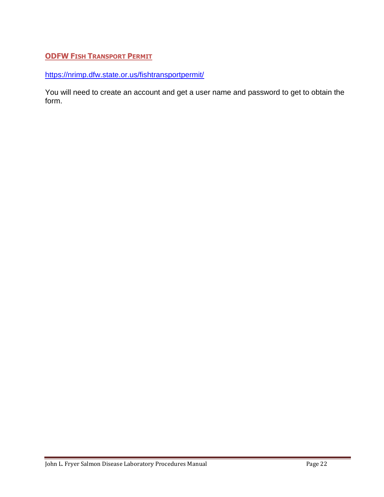# <span id="page-21-0"></span>**ODFW FISH TRANSPORT PERMIT**

<https://nrimp.dfw.state.or.us/fishtransportpermit/>

You will need to create an account and get a user name and password to get to obtain the form.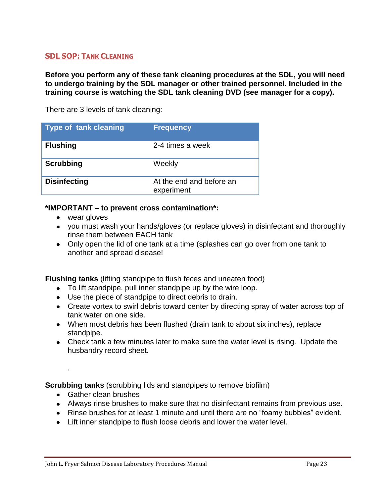# <span id="page-22-0"></span>**SDL SOP: TANK CLEANING**

**Before you perform any of these tank cleaning procedures at the SDL, you will need to undergo training by the SDL manager or other trained personnel. Included in the training course is watching the SDL tank cleaning DVD (see manager for a copy).**

There are 3 levels of tank cleaning:

| <b>Type of tank cleaning</b> | <b>Frequency</b>                       |
|------------------------------|----------------------------------------|
| <b>Flushing</b>              | 2-4 times a week                       |
| <b>Scrubbing</b>             | Weekly                                 |
| <b>Disinfecting</b>          | At the end and before an<br>experiment |

# **\*IMPORTANT – to prevent cross contamination\*:**

- wear gloves
- you must wash your hands/gloves (or replace gloves) in disinfectant and thoroughly rinse them between EACH tank
- Only open the lid of one tank at a time (splashes can go over from one tank to another and spread disease!

**Flushing tanks** (lifting standpipe to flush feces and uneaten food)

- To lift standpipe, pull inner standpipe up by the wire loop.
- Use the piece of standpipe to direct debris to drain.
- Create vortex to swirl debris toward center by directing spray of water across top of tank water on one side.
- When most debris has been flushed (drain tank to about six inches), replace standpipe.
- Check tank a few minutes later to make sure the water level is rising. Update the husbandry record sheet.

**Scrubbing tanks** (scrubbing lids and standpipes to remove biofilm)

• Gather clean brushes

.

- Always rinse brushes to make sure that no disinfectant remains from previous use.
- Rinse brushes for at least 1 minute and until there are no "foamy bubbles" evident.
- Lift inner standpipe to flush loose debris and lower the water level.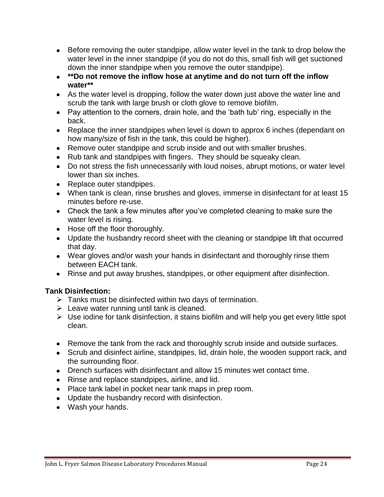- Before removing the outer standpipe, allow water level in the tank to drop below the water level in the inner standpipe (if you do not do this, small fish will get suctioned down the inner standpipe when you remove the outer standpipe).
- **\*\*Do not remove the inflow hose at anytime and do not turn off the inflow water\*\***
- As the water level is dropping, follow the water down just above the water line and scrub the tank with large brush or cloth glove to remove biofilm.
- Pay attention to the corners, drain hole, and the 'bath tub' ring, especially in the back.
- Replace the inner standpipes when level is down to approx 6 inches (dependant on how many/size of fish in the tank, this could be higher).
- Remove outer standpipe and scrub inside and out with smaller brushes.
- Rub tank and standpipes with fingers. They should be squeaky clean.
- Do not stress the fish unnecessarily with loud noises, abrupt motions, or water level lower than six inches.
- Replace outer standpipes.
- When tank is clean, rinse brushes and gloves, immerse in disinfectant for at least 15 minutes before re-use.
- Check the tank a few minutes after you've completed cleaning to make sure the water level is rising.
- Hose off the floor thoroughly.
- Update the husbandry record sheet with the cleaning or standpipe lift that occurred that day.
- Wear gloves and/or wash your hands in disinfectant and thoroughly rinse them between EACH tank.
- Rinse and put away brushes, standpipes, or other equipment after disinfection.

# **Tank Disinfection:**

- $\triangleright$  Tanks must be disinfected within two days of termination.
- $\triangleright$  Leave water running until tank is cleaned.
- $\triangleright$  Use iodine for tank disinfection, it stains biofilm and will help you get every little spot clean.
- Remove the tank from the rack and thoroughly scrub inside and outside surfaces.
- Scrub and disinfect airline, standpipes, lid, drain hole, the wooden support rack, and the surrounding floor.
- Drench surfaces with disinfectant and allow 15 minutes wet contact time.
- Rinse and replace standpipes, airline, and lid.
- Place tank label in pocket near tank maps in prep room.
- Update the husbandry record with disinfection.
- Wash your hands.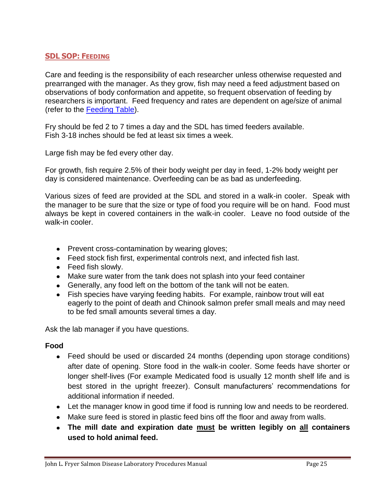# <span id="page-24-0"></span>**SDL SOP: FEEDING**

Care and feeding is the responsibility of each researcher unless otherwise requested and prearranged with the manager. As they grow, fish may need a feed adjustment based on observations of body conformation and appetite, so frequent observation of feeding by researchers is important. Feed frequency and rates are dependent on age/size of animal (refer to the [Feeding Table\)](#page-25-0).

Fry should be fed 2 to 7 times a day and the SDL has timed feeders available. Fish 3-18 inches should be fed at least six times a week.

Large fish may be fed every other day.

For growth, fish require 2.5% of their body weight per day in feed, 1-2% body weight per day is considered maintenance. Overfeeding can be as bad as underfeeding.

Various sizes of feed are provided at the SDL and stored in a walk-in cooler. Speak with the manager to be sure that the size or type of food you require will be on hand. Food must always be kept in covered containers in the walk-in cooler. Leave no food outside of the walk-in cooler.

- Prevent cross-contamination by wearing gloves;
- Feed stock fish first, experimental controls next, and infected fish last.
- Feed fish slowly.
- Make sure water from the tank does not splash into your feed container
- Generally, any food left on the bottom of the tank will not be eaten.
- Fish species have varying feeding habits. For example, rainbow trout will eat eagerly to the point of death and Chinook salmon prefer small meals and may need to be fed small amounts several times a day.

Ask the lab manager if you have questions.

# **Food**

- Feed should be used or discarded 24 months (depending upon storage conditions) after date of opening. Store food in the walk-in cooler. Some feeds have shorter or longer shelf-lives (For example Medicated food is usually 12 month shelf life and is best stored in the upright freezer). Consult manufacturers' recommendations for additional information if needed.
- Let the manager know in good time if food is running low and needs to be reordered.
- Make sure feed is stored in plastic feed bins off the floor and away from walls.
- **The mill date and expiration date must be written legibly on all containers used to hold animal feed.**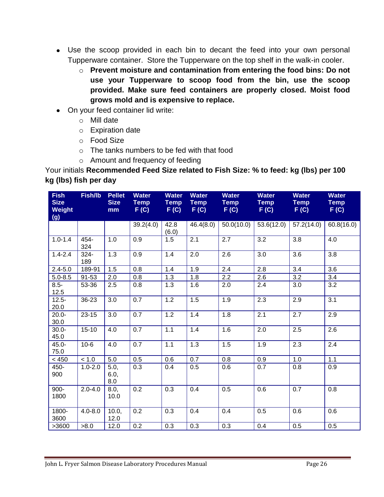- Use the scoop provided in each bin to decant the feed into your own personal Tupperware container. Store the Tupperware on the top shelf in the walk-in cooler.
	- o **Prevent moisture and contamination from entering the food bins: Do not use your Tupperware to scoop food from the bin, use the scoop provided. Make sure feed containers are properly closed. Moist food grows mold and is expensive to replace.**
- On your feed container lid write:
	- o Mill date
	- o Expiration date
	- o Food Size
	- o The tanks numbers to be fed with that food
	- o Amount and frequency of feeding

<span id="page-25-0"></span>Your initials **Recommended Feed Size related to Fish Size: % to feed: kg (lbs) per 100 kg (lbs) fish per day**

| <b>Fish</b><br><b>Size</b><br><b>Weight</b><br>(g) | Fish/lb        | <b>Pellet</b><br><b>Size</b><br>mm | <b>Water</b><br><b>Temp</b><br>F(C) | <b>Water</b><br><b>Temp</b><br>F(G) | <b>Water</b><br><b>Temp</b><br>F(C) | <b>Water</b><br><b>Temp</b><br>F(G) | <b>Water</b><br><b>Temp</b><br>F(C) | <b>Water</b><br><b>Temp</b><br>F(C) | <b>Water</b><br><b>Temp</b><br>F(C) |
|----------------------------------------------------|----------------|------------------------------------|-------------------------------------|-------------------------------------|-------------------------------------|-------------------------------------|-------------------------------------|-------------------------------------|-------------------------------------|
|                                                    |                |                                    | 39.2(4.0)                           | 42.8<br>(6.0)                       | 46.4(8.0)                           | 50.0(10.0)                          | 53.6(12.0)                          | 57.2(14.0)                          | 60.8(16.0)                          |
| $1.0 - 1.4$                                        | 454-<br>324    | 1.0                                | 0.9                                 | 1.5                                 | 2.1                                 | 2.7                                 | 3.2                                 | 3.8                                 | 4.0                                 |
| $1.4 - 2.4$                                        | $324 -$<br>189 | 1.3                                | 0.9                                 | 1.4                                 | 2.0                                 | 2.6                                 | 3.0                                 | 3.6                                 | 3.8                                 |
| $2.4 - 5.0$                                        | 189-91         | 1.5                                | 0.8                                 | 1.4                                 | 1.9                                 | 2.4                                 | 2.8                                 | 3.4                                 | 3.6                                 |
| $5.0 - 8.5$                                        | 91-53          | 2.0                                | 0.8                                 | 1.3                                 | 1.8                                 | 2.2                                 | 2.6                                 | 3.2                                 | 3.4                                 |
| $8.5 -$<br>12.5                                    | 53-36          | 2.5                                | 0.8                                 | 1.3                                 | 1.6                                 | 2.0                                 | 2.4                                 | 3.0                                 | 3.2                                 |
| $12.5 -$<br>20.0                                   | 36-23          | 3.0                                | $\overline{0.7}$                    | 1.2                                 | 1.5                                 | 1.9                                 | 2.3                                 | 2.9                                 | $\overline{3.1}$                    |
| $20.0 -$<br>30.0                                   | $23 - 15$      | 3.0                                | 0.7                                 | 1.2                                 | 1.4                                 | 1.8                                 | 2.1                                 | 2.7                                 | 2.9                                 |
| $30.0 -$<br>45.0                                   | $15 - 10$      | 4.0                                | 0.7                                 | 1.1                                 | 1.4                                 | 1.6                                 | 2.0                                 | 2.5                                 | 2.6                                 |
| $45.0 -$<br>75.0                                   | $10-6$         | 4.0                                | 0.7                                 | 1.1                                 | 1.3                                 | 1.5                                 | 1.9                                 | 2.3                                 | 2.4                                 |
| < 450                                              | < 1.0          | 5.0                                | 0.5                                 | 0.6                                 | 0.7                                 | 0.8                                 | 0.9                                 | 1.0                                 | 1.1                                 |
| 450-<br>900                                        | $1.0 - 2.0$    | 5.0,<br>6.0,<br>8.0                | 0.3                                 | 0.4                                 | 0.5                                 | 0.6                                 | 0.7                                 | 0.8                                 | 0.9                                 |
| $900 -$<br>1800                                    | $2.0 - 4.0$    | 8.0,<br>10.0                       | 0.2                                 | 0.3                                 | 0.4                                 | 0.5                                 | 0.6                                 | 0.7                                 | 0.8                                 |
| 1800-<br>3600                                      | $4.0 - 8.0$    | 10.0,<br>12.0                      | 0.2                                 | 0.3                                 | 0.4                                 | 0.4                                 | 0.5                                 | 0.6                                 | 0.6                                 |
| >3600                                              | >8.0           | 12.0                               | 0.2                                 | 0.3                                 | 0.3                                 | 0.3                                 | 0.4                                 | 0.5                                 | 0.5                                 |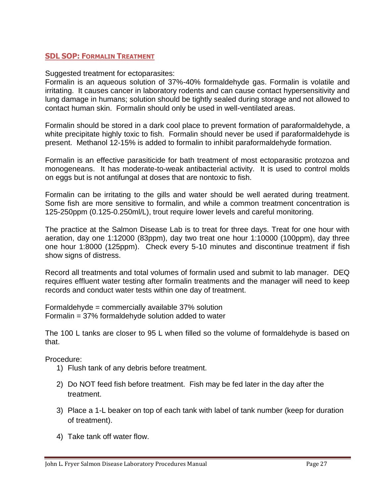# <span id="page-26-0"></span>**SDL SOP: FORMALIN TREATMENT**

Suggested treatment for ectoparasites:

Formalin is an aqueous solution of 37%-40% formaldehyde gas. Formalin is volatile and irritating. It causes cancer in laboratory rodents and can cause contact hypersensitivity and lung damage in humans; solution should be tightly sealed during storage and not allowed to contact human skin. Formalin should only be used in well-ventilated areas.

Formalin should be stored in a dark cool place to prevent formation of paraformaldehyde, a white precipitate highly toxic to fish. Formalin should never be used if paraformaldehyde is present. Methanol 12-15% is added to formalin to inhibit paraformaldehyde formation.

Formalin is an effective parasiticide for bath treatment of most ectoparasitic protozoa and monogeneans. It has moderate-to-weak antibacterial activity. It is used to control molds on eggs but is not antifungal at doses that are nontoxic to fish.

Formalin can be irritating to the gills and water should be well aerated during treatment. Some fish are more sensitive to formalin, and while a common treatment concentration is 125-250ppm (0.125-0.250ml/L), trout require lower levels and careful monitoring.

The practice at the Salmon Disease Lab is to treat for three days. Treat for one hour with aeration, day one 1:12000 (83ppm), day two treat one hour 1:10000 (100ppm), day three one hour 1:8000 (125ppm). Check every 5-10 minutes and discontinue treatment if fish show signs of distress.

Record all treatments and total volumes of formalin used and submit to lab manager. DEQ requires effluent water testing after formalin treatments and the manager will need to keep records and conduct water tests within one day of treatment.

Formaldehyde = commercially available 37% solution Formalin = 37% formaldehyde solution added to water

The 100 L tanks are closer to 95 L when filled so the volume of formaldehyde is based on that.

Procedure:

- 1) Flush tank of any debris before treatment.
- 2) Do NOT feed fish before treatment. Fish may be fed later in the day after the treatment.
- 3) Place a 1-L beaker on top of each tank with label of tank number (keep for duration of treatment).
- 4) Take tank off water flow.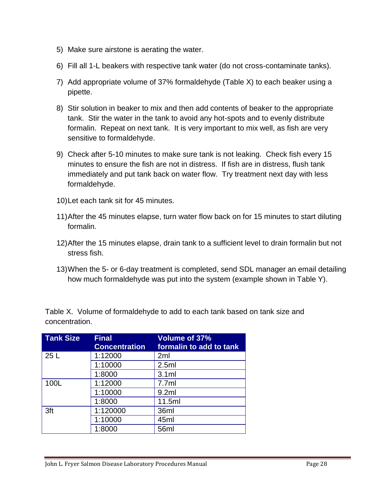- 5) Make sure airstone is aerating the water.
- 6) Fill all 1-L beakers with respective tank water (do not cross-contaminate tanks).
- 7) Add appropriate volume of 37% formaldehyde (Table X) to each beaker using a pipette.
- 8) Stir solution in beaker to mix and then add contents of beaker to the appropriate tank. Stir the water in the tank to avoid any hot-spots and to evenly distribute formalin. Repeat on next tank. It is very important to mix well, as fish are very sensitive to formaldehyde.
- 9) Check after 5-10 minutes to make sure tank is not leaking. Check fish every 15 minutes to ensure the fish are not in distress. If fish are in distress, flush tank immediately and put tank back on water flow. Try treatment next day with less formaldehyde.
- 10)Let each tank sit for 45 minutes.
- 11)After the 45 minutes elapse, turn water flow back on for 15 minutes to start diluting formalin.
- 12)After the 15 minutes elapse, drain tank to a sufficient level to drain formalin but not stress fish.
- 13)When the 5- or 6-day treatment is completed, send SDL manager an email detailing how much formaldehyde was put into the system (example shown in Table Y).

Table X. Volume of formaldehyde to add to each tank based on tank size and concentration.

| <b>Tank Size</b> | <b>Final</b><br><b>Concentration</b> | <b>Volume of 37%</b><br>formalin to add to tank |
|------------------|--------------------------------------|-------------------------------------------------|
| 25L              | 1:12000                              | 2ml                                             |
|                  | 1:10000                              | 2.5ml                                           |
|                  | 1:8000                               | 3.1ml                                           |
| 100L             | 1:12000                              | 7.7ml                                           |
|                  | 1:10000                              | 9.2ml                                           |
|                  | 1:8000                               | 11.5ml                                          |
| 3ft              | 1:120000                             | 36ml                                            |
|                  | 1:10000                              | 45ml                                            |
|                  | 1:8000                               | 56ml                                            |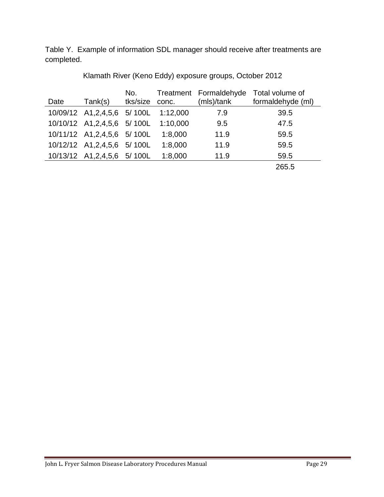Table Y. Example of information SDL manager should receive after treatments are completed.

| Date | Tank(s)                              | No.<br>tks/size conc. |         | Treatment Formaldehyde<br>(mls)/tank | Total volume of<br>formaldehyde (ml) |
|------|--------------------------------------|-----------------------|---------|--------------------------------------|--------------------------------------|
|      | 10/09/12 A1,2,4,5,6 5/ 100L 1:12,000 |                       |         | 7.9                                  | 39.5                                 |
|      | 10/10/12 A1,2,4,5,6 5/ 100L 1:10,000 |                       |         | 9.5                                  | 47.5                                 |
|      | 10/11/12 A1, 2, 4, 5, 6 5/ 100L      |                       | 1:8,000 | 11.9                                 | 59.5                                 |
|      | 10/12/12 A1, 2, 4, 5, 6 5/ 100L      |                       | 1:8,000 | 11.9                                 | 59.5                                 |
|      | 10/13/12 A1,2,4,5,6 5/100L           |                       | 1:8,000 | 11.9                                 | 59.5                                 |
|      |                                      |                       |         |                                      | 265.5                                |

Klamath River (Keno Eddy) exposure groups, October 2012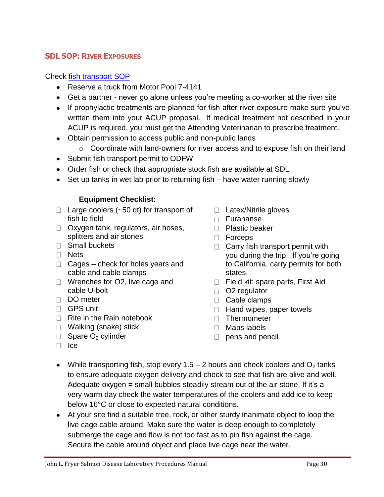#### John L. Fryer Salmon Disease Laboratory Procedures Manual Page 30

#### <span id="page-29-0"></span>**SDL SOP: RIVER EXPOSURES**

#### Check [fish transport SOP](#page-20-0)

- Reserve a truck from Motor Pool 7-4141
- Get a partner never go alone unless you're meeting a co-worker at the river site
- If prophylactic treatments are planned for fish after river exposure make sure you've written them into your ACUP proposal. If medical treatment not described in your ACUP is required, you must get the Attending Veterinarian to prescribe treatment.
- Obtain permission to access public and non-public lands
	- o Coordinate with land-owners for river access and to expose fish on their land
- Submit fish transport permit to ODFW
- Order fish or check that appropriate stock fish are available at SDL
- Set up tanks in wet lab prior to returning fish have water running slowly

# **Equipment Checklist:**

- $\Box$  Large coolers ( $\sim$ 50 qt) for transport of fish to field
- $\Box$  Oxygen tank, regulators, air hoses, splitters and air stones
- Small buckets
- □ Nets
- $\Box$  Cages check for holes years and cable and cable clamps
- □ Wrenches for O2, live cage and cable U-bolt
- DO meter
- GPS unit
- $\Box$  Rite in the Rain notebook
- □ Walking (snake) stick
- $\Box$  Spare O<sub>2</sub> cylinder
- □ Latex/Nitrile gloves
- Furananse
- $\Box$  Plastic beaker
- □ Forceps
- $\Box$  Carry fish transport permit with you during the trip. If you're going to California, carry permits for both states.
- $\Box$  Field kit: spare parts, First Aid
- □ O2 regulator
- D Cable clamps
- $\Box$  Hand wipes, paper towels
- □ Thermometer
- Maps labels
- $\Box$  pens and pencil

- □ Ice
- While transporting fish, stop every 1.5 2 hours and check coolers and  $O_2$  tanks to ensure adequate oxygen delivery and check to see that fish are alive and well. Adequate oxygen = small bubbles steadily stream out of the air stone. If it's a very warm day check the water temperatures of the coolers and add ice to keep below 16°C or close to expected natural conditions.
- At your site find a suitable tree, rock, or other sturdy inanimate object to loop the live cage cable around. Make sure the water is deep enough to completely submerge the cage and flow is not too fast as to pin fish against the cage. Secure the cable around object and place live cage near the water.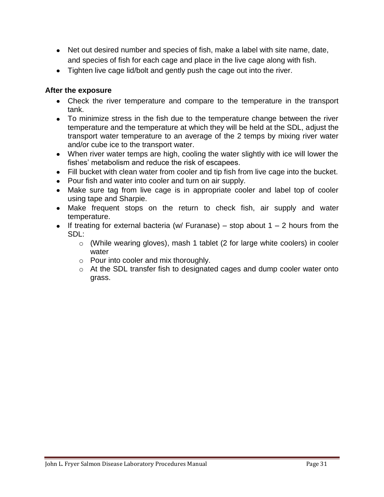- Net out desired number and species of fish, make a label with site name, date, and species of fish for each cage and place in the live cage along with fish.
- Tighten live cage lid/bolt and gently push the cage out into the river.

# **After the exposure**

- Check the river temperature and compare to the temperature in the transport tank.
- To minimize stress in the fish due to the temperature change between the river temperature and the temperature at which they will be held at the SDL, adjust the transport water temperature to an average of the 2 temps by mixing river water and/or cube ice to the transport water.
- When river water temps are high, cooling the water slightly with ice will lower the fishes' metabolism and reduce the risk of escapees.
- Fill bucket with clean water from cooler and tip fish from live cage into the bucket.
- Pour fish and water into cooler and turn on air supply.
- Make sure tag from live cage is in appropriate cooler and label top of cooler using tape and Sharpie.
- Make frequent stops on the return to check fish, air supply and water temperature.
- If treating for external bacteria (w/ Furanase) stop about  $1 2$  hours from the SDL:
	- o (While wearing gloves), mash 1 tablet (2 for large white coolers) in cooler water
	- o Pour into cooler and mix thoroughly.
	- o At the SDL transfer fish to designated cages and dump cooler water onto grass.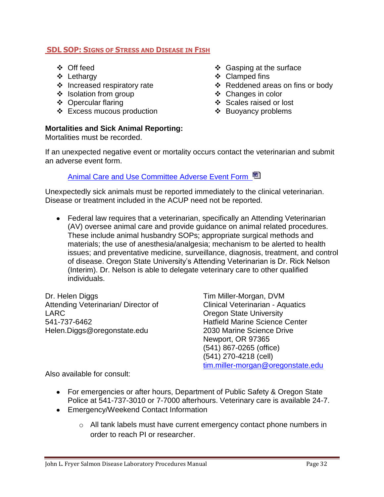# <span id="page-31-0"></span>**SDL SOP: SIGNS OF STRESS AND DISEASE IN FISH**

- ❖ Off feed
- Lethargy
- $\div$  Increased respiratory rate
- ❖ Isolation from group
- ❖ Opercular flaring
- Excess mucous production

# **Mortalities and Sick Animal Reporting:**

Mortalities must be recorded.

- $\div$  Gasping at the surface
- ❖ Clamped fins
- Reddened areas on fins or body
- Changes in color
- ❖ Scales raised or lost
- ❖ Buoyancy problems

If an unexpected negative event or mortality occurs contact the veterinarian and submit an adverse event form.

[Animal Care and Use Committee Adverse Event Form](http://oregonstate.edu/research/ori/animal/adevent.doc)

Unexpectedly sick animals must be reported immediately to the clinical veterinarian. Disease or treatment included in the ACUP need not be reported.

Federal law requires that a veterinarian, specifically an Attending Veterinarian (AV) oversee animal care and provide guidance on animal related procedures. These include animal husbandry SOPs; appropriate surgical methods and materials; the use of anesthesia/analgesia; mechanism to be alerted to health issues; and preventative medicine, surveillance, diagnosis, treatment, and control of disease. Oregon State University's Attending Veterinarian is Dr. Rick Nelson (Interim). Dr. Nelson is able to delegate veterinary care to other qualified individuals.

Dr. Helen Diggs Attending Veterinarian/ Director of LARC 541-737-6462 Helen.Diggs@oregonstate.edu

Tim Miller-Morgan, DVM Clinical Veterinarian - Aquatics Oregon State University Hatfield Marine Science Center 2030 Marine Science Drive Newport, OR 97365 (541) 867-0265 (office) (541) 270-4218 (cell) [tim.miller-morgan@oregonstate.edu](mailto:tim.miller-morgan@oregonstate.edu)

Also available for consult:

- For emergencies or after hours, Department of Public Safety & Oregon State Police at 541-737-3010 or 7-7000 afterhours. Veterinary care is available 24-7.
- Emergency/Weekend Contact Information
	- o All tank labels must have current emergency contact phone numbers in order to reach PI or researcher.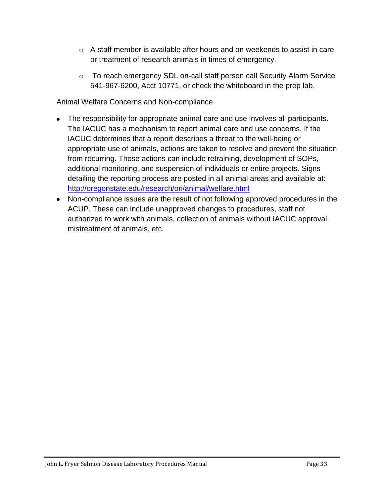- $\circ$  A staff member is available after hours and on weekends to assist in care or treatment of research animals in times of emergency.
- o To reach emergency SDL on-call staff person call Security Alarm Service 541-967-6200, Acct 10771, or check the whiteboard in the prep lab.

Animal Welfare Concerns and Non-compliance

- The responsibility for appropriate animal care and use involves all participants. The IACUC has a mechanism to report animal care and use concerns. If the IACUC determines that a report describes a threat to the well-being or appropriate use of animals, actions are taken to resolve and prevent the situation from recurring. These actions can include retraining, development of SOPs, additional monitoring, and suspension of individuals or entire projects. Signs detailing the reporting process are posted in all animal areas and available at: <http://oregonstate.edu/research/ori/animal/welfare.html>
- Non-compliance issues are the result of not following approved procedures in the ACUP. These can include unapproved changes to procedures, staff not authorized to work with animals, collection of animals without IACUC approval, mistreatment of animals, etc.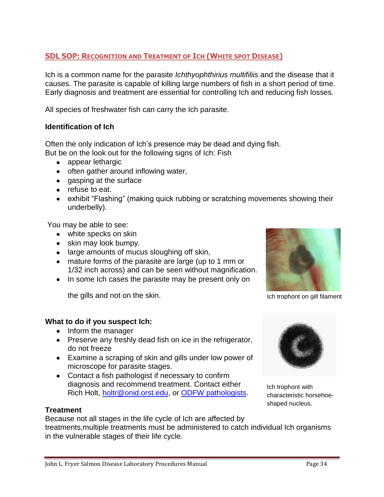# <span id="page-33-0"></span>**SDL SOP: RECOGNITION AND TREATMENT OF ICH (WHITE SPOT DISEASE)**

Ich is a common name for the parasite *Ichthyophthirius multifiliis* and the disease that it causes. The parasite is capable of killing large numbers of fish in a short period of time. Early diagnosis and treatment are essential for controlling Ich and reducing fish losses.

All species of freshwater fish can carry the Ich parasite.

# **Identification of Ich**

Often the only indication of Ich's presence may be dead and dying fish. But be on the look out for the following signs of Ich: Fish

- appear lethargic
- often gather around inflowing water,
- gasping at the surface
- refuse to eat.
- exhibit "Flashing" (making quick rubbing or scratching movements showing their underbelly).

You may be able to see:

- white specks on skin
- skin may look bumpy.
- large amounts of mucus sloughing off skin,
- mature forms of the parasite are large (up to 1 mm or 1/32 inch across) and can be seen without magnification.
- In some Ich cases the parasite may be present only on

the gills and not on the skin.

# **What to do if you suspect Ich:**

- Inform the manager
- Preserve any freshly dead fish on ice in the refrigerator, do not freeze
- Examine a scraping of skin and gills under low power of microscope for parasite stages.
- Contact a fish pathologist if necessary to confirm diagnosis and recommend treatment. Contact either Rich Holt, [holtr@onid.orst.edu,](mailto:holtr@onid.orst.edu) or [ODFW pathologists.](#page-60-1)

Ich trophont with characteristic horsehoeshaped nucleus.

# **Treatment**

Because not all stages in the life cycle of Ich are affected by treatments,multiple treatments must be administered to catch individual Ich organisms in the vulnerable stages of their life cycle.



Ich trophont on gill filament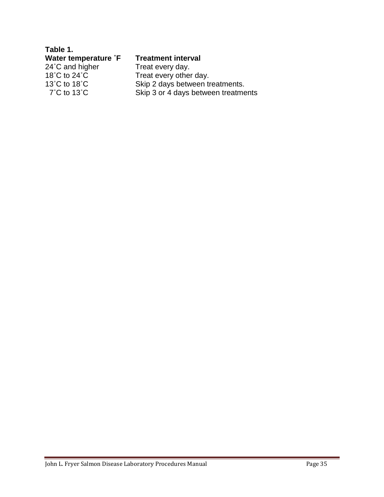| Table 1.                           |                                     |
|------------------------------------|-------------------------------------|
| Water temperature <sup>°</sup> F   | <b>Treatment interval</b>           |
| 24°C and higher                    | Treat every day.                    |
| 18°C to 24°C                       | Treat every other day.              |
| 13 $^{\circ}$ C to 18 $^{\circ}$ C | Skip 2 days between treatments.     |
| $7^{\circ}$ C to 13 $^{\circ}$ C   | Skip 3 or 4 days between treatments |
|                                    |                                     |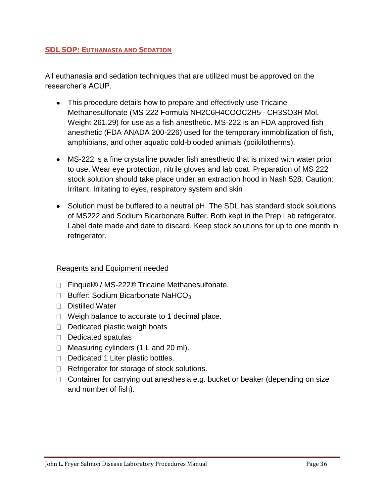# <span id="page-35-0"></span>**SDL SOP: EUTHANASIA AND SEDATION**

All euthanasia and sedation techniques that are utilized must be approved on the researcher's ACUP.

- This procedure details how to prepare and effectively use Tricaine Methanesulfonate (MS-222 Formula NH2C6H4COOC2H5 · CH3SO3H Mol. Weight 261.29) for use as a fish anesthetic. MS-222 is an FDA approved fish anesthetic (FDA ANADA 200-226) used for the temporary immobilization of fish, amphibians, and other aquatic cold-blooded animals (poikilotherms).
- MS-222 is a fine crystalline powder fish anesthetic that is mixed with water prior to use. Wear eye protection, nitrile gloves and lab coat. Preparation of MS 222 stock solution should take place under an extraction hood in Nash 528. Caution: Irritant. Irritating to eyes, respiratory system and skin
- Solution must be buffered to a neutral pH. The SDL has standard stock solutions of MS222 and Sodium Bicarbonate Buffer. Both kept in the Prep Lab refrigerator. Label date made and date to discard. Keep stock solutions for up to one month in refrigerator.

# Reagents and Equipment needed

- □ Finquel® / MS-222® Tricaine Methanesulfonate.
- $\Box$  Buffer: Sodium Bicarbonate NaHCO<sub>3</sub>
- $\Box$  Distilled Water
- $\Box$  Weigh balance to accurate to 1 decimal place.
- $\Box$  Dedicated plastic weigh boats
- $\Box$  Dedicated spatulas
- $\Box$  Measuring cylinders (1 L and 20 ml).
- $\Box$  Dedicated 1 Liter plastic bottles.
- $\Box$  Refrigerator for storage of stock solutions.
- $\Box$  Container for carrying out anesthesia e.g. bucket or beaker (depending on size and number of fish).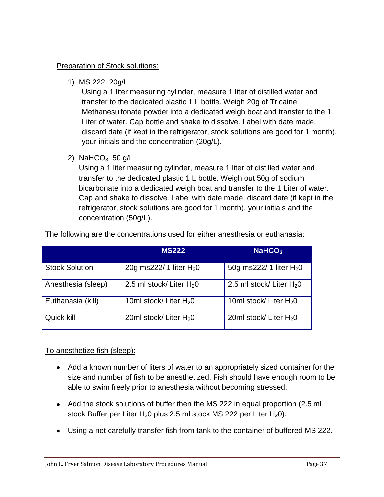# Preparation of Stock solutions:

1) MS 222: 20g/L

Using a 1 liter measuring cylinder, measure 1 liter of distilled water and transfer to the dedicated plastic 1 L bottle. Weigh 20g of Tricaine Methanesulfonate powder into a dedicated weigh boat and transfer to the 1 Liter of water. Cap bottle and shake to dissolve. Label with date made, discard date (if kept in the refrigerator, stock solutions are good for 1 month), your initials and the concentration (20g/L).

2) NaHCO<sub>3</sub> :50 g/L

Using a 1 liter measuring cylinder, measure 1 liter of distilled water and transfer to the dedicated plastic 1 L bottle. Weigh out 50g of sodium bicarbonate into a dedicated weigh boat and transfer to the 1 Liter of water. Cap and shake to dissolve. Label with date made, discard date (if kept in the refrigerator, stock solutions are good for 1 month), your initials and the concentration (50g/L).

|                       | <b>MS222</b>               | NaHCO <sub>3</sub>         |
|-----------------------|----------------------------|----------------------------|
| <b>Stock Solution</b> | 20g ms222/ 1 liter $H_2$ 0 | 50g ms222/ 1 liter $H_2$ 0 |
| Anesthesia (sleep)    | 2.5 ml stock/ Liter $H_2O$ | 2.5 ml stock/ Liter $H_2O$ |
| Euthanasia (kill)     | 10ml stock/ Liter $H_2$ 0  | 10ml stock/ Liter $H_2$ 0  |
| Quick kill            | 20ml stock/ Liter $H_2$ 0  | 20ml stock/ Liter $H_2$ 0  |

The following are the concentrations used for either anesthesia or euthanasia:

# To anesthetize fish (sleep):

- Add a known number of liters of water to an appropriately sized container for the size and number of fish to be anesthetized. Fish should have enough room to be able to swim freely prior to anesthesia without becoming stressed.
- Add the stock solutions of buffer then the MS 222 in equal proportion (2.5 ml stock Buffer per Liter  $H_20$  plus 2.5 ml stock MS 222 per Liter  $H_20$ ).
- Using a net carefully transfer fish from tank to the container of buffered MS 222.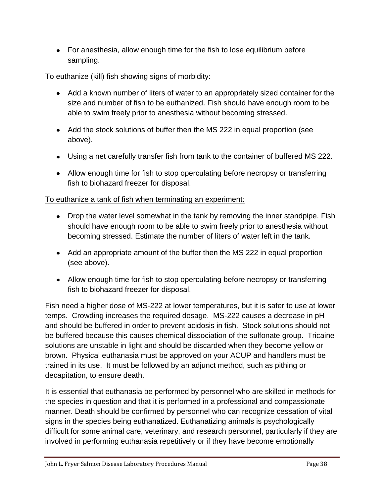For anesthesia, allow enough time for the fish to lose equilibrium before sampling.

# To euthanize (kill) fish showing signs of morbidity:

- Add a known number of liters of water to an appropriately sized container for the size and number of fish to be euthanized. Fish should have enough room to be able to swim freely prior to anesthesia without becoming stressed.
- Add the stock solutions of buffer then the MS 222 in equal proportion (see above).
- Using a net carefully transfer fish from tank to the container of buffered MS 222.
- Allow enough time for fish to stop operculating before necropsy or transferring fish to biohazard freezer for disposal.

# To euthanize a tank of fish when terminating an experiment:

- Drop the water level somewhat in the tank by removing the inner standpipe. Fish should have enough room to be able to swim freely prior to anesthesia without becoming stressed. Estimate the number of liters of water left in the tank.
- Add an appropriate amount of the buffer then the MS 222 in equal proportion (see above).
- Allow enough time for fish to stop operculating before necropsy or transferring fish to biohazard freezer for disposal.

Fish need a higher dose of MS-222 at lower temperatures, but it is safer to use at lower temps. Crowding increases the required dosage. MS-222 causes a decrease in pH and should be buffered in order to prevent acidosis in fish. Stock solutions should not be buffered because this causes chemical dissociation of the sulfonate group. Tricaine solutions are unstable in light and should be discarded when they become yellow or brown. Physical euthanasia must be approved on your ACUP and handlers must be trained in its use. It must be followed by an adjunct method, such as pithing or decapitation, to ensure death.

It is essential that euthanasia be performed by personnel who are skilled in methods for the species in question and that it is performed in a professional and compassionate manner. Death should be confirmed by personnel who can recognize cessation of vital signs in the species being euthanatized. Euthanatizing animals is psychologically difficult for some animal care, veterinary, and research personnel, particularly if they are involved in performing euthanasia repetitively or if they have become emotionally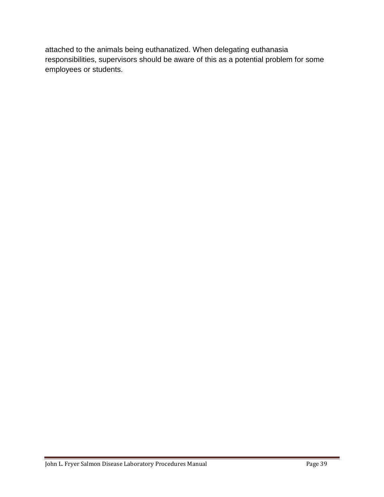attached to the animals being euthanatized. When delegating euthanasia responsibilities, supervisors should be aware of this as a potential problem for some employees or students.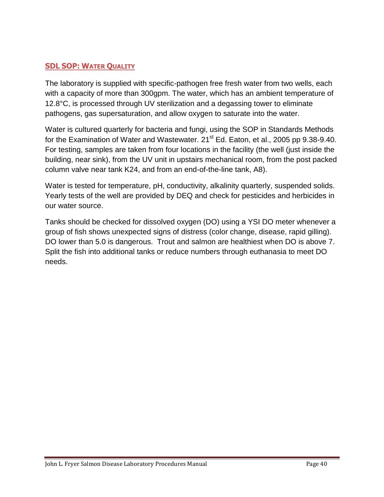# <span id="page-39-0"></span>**SDL SOP: WATER QUALITY**

The laboratory is supplied with specific-pathogen free fresh water from two wells, each with a capacity of more than 300gpm. The water, which has an ambient temperature of 12.8°C, is processed through UV sterilization and a degassing tower to eliminate pathogens, gas supersaturation, and allow oxygen to saturate into the water.

Water is cultured quarterly for bacteria and fungi, using the SOP in Standards Methods for the Examination of Water and Wastewater. 21<sup>st</sup> Ed. Eaton, et al., 2005 pp 9.38-9.40. For testing, samples are taken from four locations in the facility (the well (just inside the building, near sink), from the UV unit in upstairs mechanical room, from the post packed column valve near tank K24, and from an end-of-the-line tank, A8).

Water is tested for temperature, pH, conductivity, alkalinity quarterly, suspended solids. Yearly tests of the well are provided by DEQ and check for pesticides and herbicides in our water source.

Tanks should be checked for dissolved oxygen (DO) using a YSI DO meter whenever a group of fish shows unexpected signs of distress (color change, disease, rapid gilling). DO lower than 5.0 is dangerous. Trout and salmon are healthiest when DO is above 7. Split the fish into additional tanks or reduce numbers through euthanasia to meet DO needs.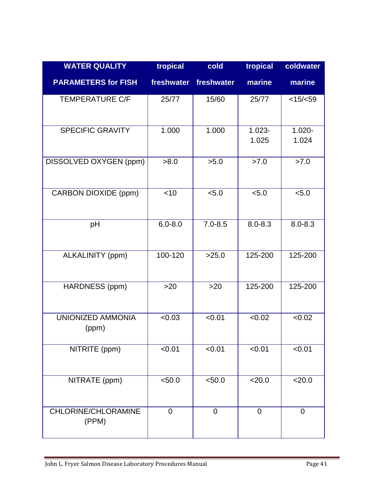| <b>WATER QUALITY</b>              | tropical       | cold        | tropical           | coldwater          |
|-----------------------------------|----------------|-------------|--------------------|--------------------|
| <b>PARAMETERS for FISH</b>        | freshwater     | freshwater  | marine             | marine             |
| <b>TEMPERATURE C/F</b>            | 25/77          | 15/60       | 25/77              | <15/ <sub>59</sub> |
| <b>SPECIFIC GRAVITY</b>           | 1.000          | 1.000       | $1.023 -$<br>1.025 | $1.020 -$<br>1.024 |
| DISSOLVED OXYGEN (ppm)            | >8.0           | >5.0        | >7.0               | >7.0               |
| CARBON DIOXIDE (ppm)              | $<$ 10         | < 5.0       | < 5.0              | < 5.0              |
| pH                                | $6.0 - 8.0$    | $7.0 - 8.5$ | $8.0 - 8.3$        | $8.0 - 8.3$        |
| ALKALINITY (ppm)                  | 100-120        | >25.0       | 125-200            | 125-200            |
| HARDNESS (ppm)                    | >20            | $>20$       | 125-200            | 125-200            |
| <b>UNIONIZED AMMONIA</b><br>(ppm) | < 0.03         | < 0.01      | < 0.02             | < 0.02             |
| NITRITE (ppm)                     | < 0.01         | < 0.01      | < 0.01             | < 0.01             |
| NITRATE (ppm)                     | < 50.0         | < 50.0      | 20.0               | 20.0               |
| CHLORINE/CHLORAMINE<br>(PPM)      | $\overline{0}$ | $\mathbf 0$ | $\mathbf 0$        | 0                  |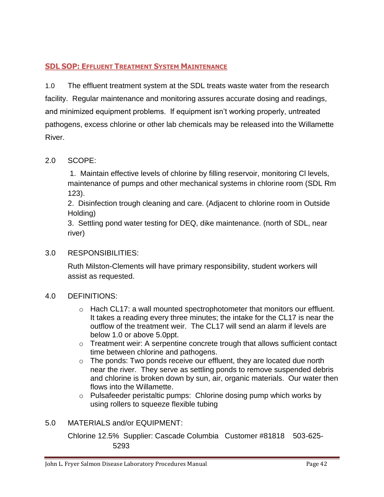# <span id="page-41-0"></span>**SDL SOP: EFFLUENT TREATMENT SYSTEM MAINTENANCE**

1.0 The effluent treatment system at the SDL treats waste water from the research facility. Regular maintenance and monitoring assures accurate dosing and readings, and minimized equipment problems. If equipment isn't working properly, untreated pathogens, excess chlorine or other lab chemicals may be released into the Willamette River.

# 2.0 SCOPE:

1. Maintain effective levels of chlorine by filling reservoir, monitoring Cl levels, maintenance of pumps and other mechanical systems in chlorine room (SDL Rm 123).

2. Disinfection trough cleaning and care. (Adjacent to chlorine room in Outside Holding)

3. Settling pond water testing for DEQ, dike maintenance. (north of SDL, near river)

# 3.0 RESPONSIBILITIES:

Ruth Milston-Clements will have primary responsibility, student workers will assist as requested.

# 4.0 DEFINITIONS:

- $\circ$  Hach CL17: a wall mounted spectrophotometer that monitors our effluent. It takes a reading every three minutes; the intake for the CL17 is near the outflow of the treatment weir. The CL17 will send an alarm if levels are below 1.0 or above 5.0ppt.
- o Treatment weir: A serpentine concrete trough that allows sufficient contact time between chlorine and pathogens.
- $\circ$  The ponds: Two ponds receive our effluent, they are located due north near the river. They serve as settling ponds to remove suspended debris and chlorine is broken down by sun, air, organic materials. Our water then flows into the Willamette.
- o Pulsafeeder peristaltic pumps: Chlorine dosing pump which works by using rollers to squeeze flexible tubing

# 5.0 MATERIALS and/or EQUIPMENT:

Chlorine 12.5% Supplier: Cascade Columbia Customer #81818 503-625- 5293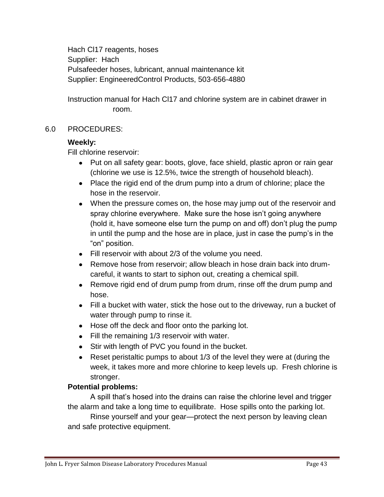Hach Cl17 reagents, hoses Supplier: Hach Pulsafeeder hoses, lubricant, annual maintenance kit Supplier: EngineeredControl Products, 503-656-4880

Instruction manual for Hach Cl17 and chlorine system are in cabinet drawer in room.

# 6.0 PROCEDURES:

# **Weekly:**

Fill chlorine reservoir:

- Put on all safety gear: boots, glove, face shield, plastic apron or rain gear (chlorine we use is 12.5%, twice the strength of household bleach).
- Place the rigid end of the drum pump into a drum of chlorine; place the hose in the reservoir.
- When the pressure comes on, the hose may jump out of the reservoir and spray chlorine everywhere. Make sure the hose isn't going anywhere (hold it, have someone else turn the pump on and off) don't plug the pump in until the pump and the hose are in place, just in case the pump's in the "on" position.
- Fill reservoir with about 2/3 of the volume you need.
- Remove hose from reservoir: allow bleach in hose drain back into drumcareful, it wants to start to siphon out, creating a chemical spill.
- Remove rigid end of drum pump from drum, rinse off the drum pump and hose.
- Fill a bucket with water, stick the hose out to the driveway, run a bucket of water through pump to rinse it.
- Hose off the deck and floor onto the parking lot.
- Fill the remaining 1/3 reservoir with water.
- Stir with length of PVC you found in the bucket.
- Reset peristaltic pumps to about 1/3 of the level they were at (during the week, it takes more and more chlorine to keep levels up. Fresh chlorine is stronger.

# **Potential problems:**

A spill that's hosed into the drains can raise the chlorine level and trigger the alarm and take a long time to equilibrate. Hose spills onto the parking lot.

Rinse yourself and your gear—protect the next person by leaving clean and safe protective equipment.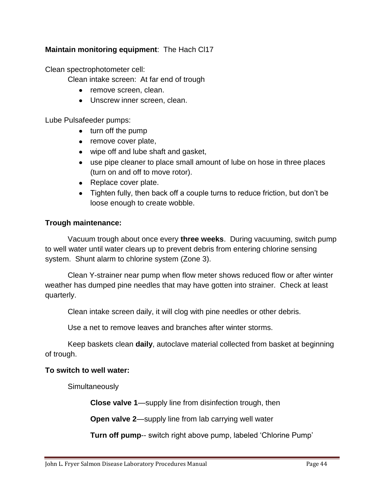# **Maintain monitoring equipment**: The Hach Cl17

Clean spectrophotometer cell:

Clean intake screen: At far end of trough

- remove screen, clean.
- Unscrew inner screen, clean.

Lube Pulsafeeder pumps:

- turn off the pump
- remove cover plate,
- wipe off and lube shaft and gasket,
- use pipe cleaner to place small amount of lube on hose in three places (turn on and off to move rotor).
- Replace cover plate.
- Tighten fully, then back off a couple turns to reduce friction, but don't be loose enough to create wobble.

# **Trough maintenance:**

Vacuum trough about once every **three weeks**. During vacuuming, switch pump to well water until water clears up to prevent debris from entering chlorine sensing system. Shunt alarm to chlorine system (Zone 3).

Clean Y-strainer near pump when flow meter shows reduced flow or after winter weather has dumped pine needles that may have gotten into strainer. Check at least quarterly.

Clean intake screen daily, it will clog with pine needles or other debris.

Use a net to remove leaves and branches after winter storms.

Keep baskets clean **daily**, autoclave material collected from basket at beginning of trough.

# **To switch to well water:**

**Simultaneously** 

**Close valve 1**—supply line from disinfection trough, then

**Open valve 2**—supply line from lab carrying well water

**Turn off pump**-- switch right above pump, labeled 'Chlorine Pump'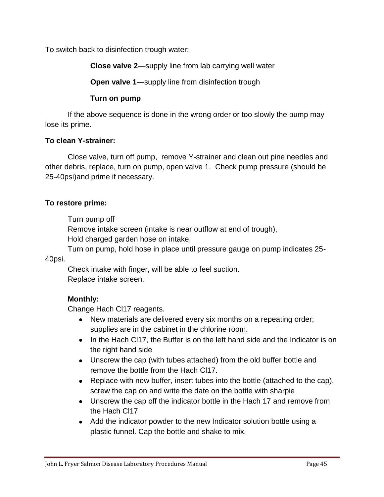To switch back to disinfection trough water:

**Close valve 2**—supply line from lab carrying well water

**Open valve 1**—supply line from disinfection trough

# **Turn on pump**

If the above sequence is done in the wrong order or too slowly the pump may lose its prime.

# **To clean Y-strainer:**

Close valve, turn off pump, remove Y-strainer and clean out pine needles and other debris, replace, turn on pump, open valve 1. Check pump pressure (should be 25-40psi)and prime if necessary.

# **To restore prime:**

Turn pump off

Remove intake screen (intake is near outflow at end of trough),

Hold charged garden hose on intake,

Turn on pump, hold hose in place until pressure gauge on pump indicates 25-

40psi.

Check intake with finger, will be able to feel suction. Replace intake screen.

# **Monthly:**

Change Hach Cl17 reagents.

- New materials are delivered every six months on a repeating order; supplies are in the cabinet in the chlorine room.
- In the Hach Cl17, the Buffer is on the left hand side and the Indicator is on the right hand side
- Unscrew the cap (with tubes attached) from the old buffer bottle and remove the bottle from the Hach Cl17.
- Replace with new buffer, insert tubes into the bottle (attached to the cap), screw the cap on and write the date on the bottle with sharpie
- Unscrew the cap off the indicator bottle in the Hach 17 and remove from the Hach Cl17
- Add the indicator powder to the new Indicator solution bottle using a plastic funnel. Cap the bottle and shake to mix.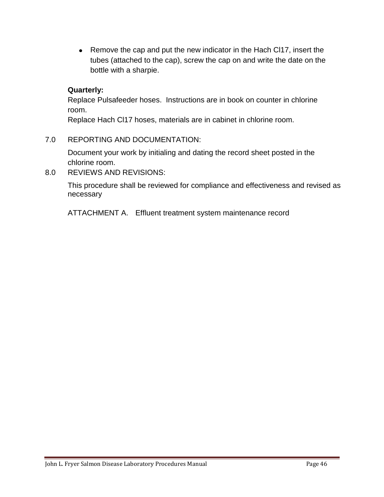• Remove the cap and put the new indicator in the Hach Cl17, insert the tubes (attached to the cap), screw the cap on and write the date on the bottle with a sharpie.

# **Quarterly:**

Replace Pulsafeeder hoses. Instructions are in book on counter in chlorine room.

Replace Hach Cl17 hoses, materials are in cabinet in chlorine room.

# 7.0 REPORTING AND DOCUMENTATION:

Document your work by initialing and dating the record sheet posted in the chlorine room.

8.0 REVIEWS AND REVISIONS:

This procedure shall be reviewed for compliance and effectiveness and revised as necessary

ATTACHMENT A. Effluent treatment system maintenance record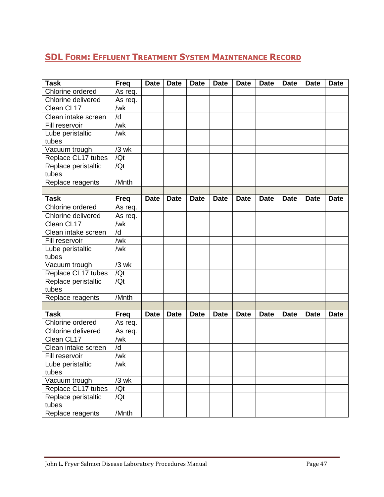# <span id="page-46-0"></span>**SDL FORM: EFFLUENT TREATMENT SYSTEM MAINTENANCE RECORD**

| <b>Task</b>               | <b>Freq</b> | <b>Date</b> | <b>Date</b> | <b>Date</b> | <b>Date</b> | <b>Date</b> | <b>Date</b> | <b>Date</b> | <b>Date</b> | <b>Date</b> |
|---------------------------|-------------|-------------|-------------|-------------|-------------|-------------|-------------|-------------|-------------|-------------|
| Chlorine ordered          | As req.     |             |             |             |             |             |             |             |             |             |
| Chlorine delivered        | As req.     |             |             |             |             |             |             |             |             |             |
| Clean CL17                | /wk         |             |             |             |             |             |             |             |             |             |
| Clean intake screen       | /d          |             |             |             |             |             |             |             |             |             |
| Fill reservoir            | /wk         |             |             |             |             |             |             |             |             |             |
| Lube peristaltic          | /wk         |             |             |             |             |             |             |             |             |             |
| tubes                     |             |             |             |             |             |             |             |             |             |             |
| Vacuum trough             | $/3$ wk     |             |             |             |             |             |             |             |             |             |
| Replace CL17 tubes        | /Qt         |             |             |             |             |             |             |             |             |             |
| Replace peristaltic       | /Qt         |             |             |             |             |             |             |             |             |             |
| tubes                     |             |             |             |             |             |             |             |             |             |             |
| Replace reagents          | /Mnth       |             |             |             |             |             |             |             |             |             |
|                           |             |             |             |             |             |             |             |             |             |             |
| <b>Task</b>               | <b>Freq</b> | <b>Date</b> | <b>Date</b> | <b>Date</b> | <b>Date</b> | <b>Date</b> | <b>Date</b> | <b>Date</b> | <b>Date</b> | <b>Date</b> |
| Chlorine ordered          | As req.     |             |             |             |             |             |             |             |             |             |
| <b>Chlorine delivered</b> | As req.     |             |             |             |             |             |             |             |             |             |
| Clean CL17                | /wk         |             |             |             |             |             |             |             |             |             |
| Clean intake screen       | /d          |             |             |             |             |             |             |             |             |             |
| Fill reservoir            | /wk         |             |             |             |             |             |             |             |             |             |
| Lube peristaltic          | /wk         |             |             |             |             |             |             |             |             |             |
| tubes                     |             |             |             |             |             |             |             |             |             |             |
| Vacuum trough             | $/3$ wk     |             |             |             |             |             |             |             |             |             |
| Replace CL17 tubes        | /Qt         |             |             |             |             |             |             |             |             |             |
| Replace peristaltic       | /Qt         |             |             |             |             |             |             |             |             |             |
| tubes                     |             |             |             |             |             |             |             |             |             |             |
| Replace reagents          | /Mnth       |             |             |             |             |             |             |             |             |             |
|                           |             |             |             |             |             |             |             |             |             |             |
| <b>Task</b>               | <b>Freq</b> | <b>Date</b> | <b>Date</b> | <b>Date</b> | <b>Date</b> | <b>Date</b> | <b>Date</b> | <b>Date</b> | <b>Date</b> | <b>Date</b> |
| Chlorine ordered          | As req.     |             |             |             |             |             |             |             |             |             |
| Chlorine delivered        | As req.     |             |             |             |             |             |             |             |             |             |
| Clean CL17                | /wk         |             |             |             |             |             |             |             |             |             |
| Clean intake screen       | /d          |             |             |             |             |             |             |             |             |             |
| Fill reservoir            | /wk         |             |             |             |             |             |             |             |             |             |
| Lube peristaltic          | /wk         |             |             |             |             |             |             |             |             |             |
| tubes                     |             |             |             |             |             |             |             |             |             |             |
| Vacuum trough             | $/3$ wk     |             |             |             |             |             |             |             |             |             |
| Replace CL17 tubes        | /Qt         |             |             |             |             |             |             |             |             |             |
| Replace peristaltic       | /Qt         |             |             |             |             |             |             |             |             |             |
| tubes                     |             |             |             |             |             |             |             |             |             |             |
| Replace reagents          | /Mnth       |             |             |             |             |             |             |             |             |             |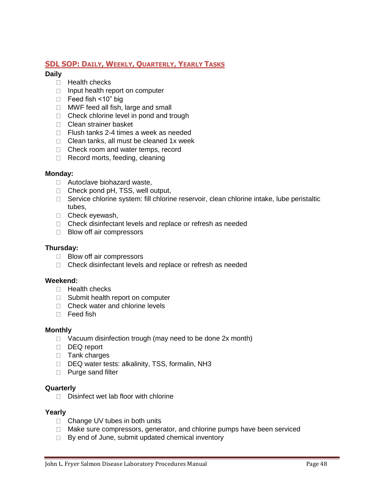# <span id="page-47-0"></span>**SDL SOP: DAILY, WEEKLY, QUARTERLY, YEARLY TASKS**

#### **Daily**

- $\Box$  Health checks
- $\Box$  Input health report on computer
- □ Feed fish <10" big
- MWF feed all fish, large and small
- □ Check chlorine level in pond and trough
- □ Clean strainer basket
- □ Flush tanks 2-4 times a week as needed
- $\Box$  Clean tanks, all must be cleaned 1x week
- □ Check room and water temps, record
- Record morts, feeding, cleaning

#### **Monday:**

- □ Autoclave biohazard waste,
- □ Check pond pH, TSS, well output,
- □ Service chlorine system: fill chlorine reservoir, clean chlorine intake, lube peristaltic tubes,
- □ Check eyewash,
- □ Check disinfectant levels and replace or refresh as needed
- □ Blow off air compressors

#### **Thursday:**

- □ Blow off air compressors
- $\Box$  Check disinfectant levels and replace or refresh as needed

#### **Weekend:**

- $\Box$  Health checks
- □ Submit health report on computer
- □ Check water and chlorine levels
- D Feed fish

#### **Monthly**

- $\Box$  Vacuum disinfection trough (may need to be done 2x month)
- DEQ report
- $\Box$  Tank charges
- □ DEQ water tests: alkalinity, TSS, formalin, NH3
- □ Purge sand filter

#### **Quarterly**

 $\Box$  Disinfect wet lab floor with chlorine

#### **Yearly**

- □ Change UV tubes in both units
- $\Box$  Make sure compressors, generator, and chlorine pumps have been serviced
- $\Box$  By end of June, submit updated chemical inventory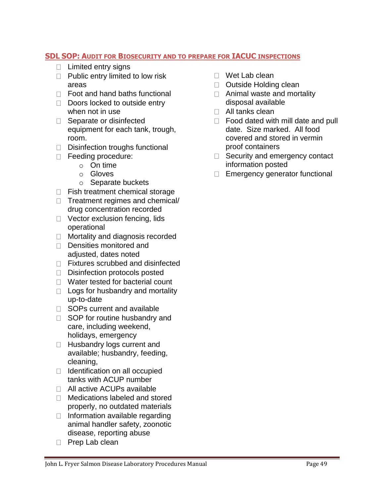# <span id="page-48-0"></span>**SDL SOP: AUDIT FOR BIOSECURITY AND TO PREPARE FOR IACUC INSPECTIONS**

- $\Box$  Limited entry signs
- $\Box$  Public entry limited to low risk areas
- □ Foot and hand baths functional
- $\Box$  Doors locked to outside entry when not in use
- □ Separate or disinfected equipment for each tank, trough, room.
- $\Box$  Disinfection troughs functional
- Feeding procedure:
	- o On time
	- o Gloves
	- o Separate buckets
- $\Box$  Fish treatment chemical storage
- $\Box$  Treatment regimes and chemical/ drug concentration recorded
- □ Vector exclusion fencing, lids operational
- □ Mortality and diagnosis recorded
- Densities monitored and adjusted, dates noted
- □ Fixtures scrubbed and disinfected
- Disinfection protocols posted
- □ Water tested for bacterial count
- $\Box$  Logs for husbandry and mortality up-to-date
- □ SOPs current and available
- □ SOP for routine husbandry and care, including weekend, holidays, emergency
- □ Husbandry logs current and available; husbandry, feeding, cleaning,
- $\Box$  Identification on all occupied tanks with ACUP number
- □ All active ACUPs available
- □ Medications labeled and stored properly, no outdated materials
- $\Box$  Information available regarding animal handler safety, zoonotic disease, reporting abuse
- □ Prep Lab clean
- □ Wet Lab clean
- D Outside Holding clean
- □ Animal waste and mortality disposal available
- $\Box$  All tanks clean
- $\Box$  Food dated with mill date and pull date. Size marked. All food covered and stored in vermin proof containers
- $\Box$  Security and emergency contact information posted
- Emergency generator functional $\Box$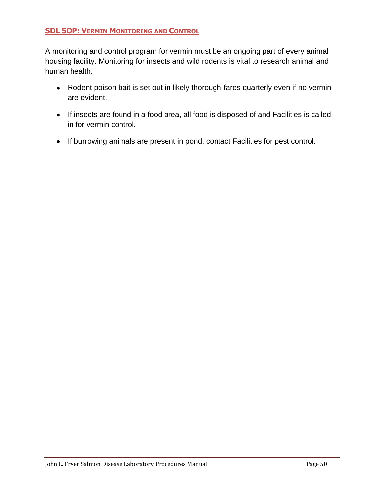# <span id="page-49-0"></span>**SDL SOP: VERMIN MONITORING AND CONTROL**

A monitoring and control program for vermin must be an ongoing part of every animal housing facility. Monitoring for insects and wild rodents is vital to research animal and human health.

- Rodent poison bait is set out in likely thorough-fares quarterly even if no vermin are evident.
- If insects are found in a food area, all food is disposed of and Facilities is called in for vermin control.
- If burrowing animals are present in pond, contact Facilities for pest control.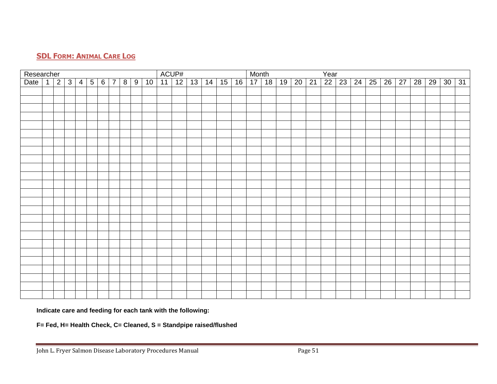# **SDL FORM: ANIMAL CARE LOG**

<span id="page-50-0"></span>

| Researcher |              |                 |          |                 |            |    |    | ACUP# |    |    |    |    | Month |    |    |    |    | Year |       |              |    |    |    |    |    |
|------------|--------------|-----------------|----------|-----------------|------------|----|----|-------|----|----|----|----|-------|----|----|----|----|------|-------|--------------|----|----|----|----|----|
| Date 1     | $\mathbf{v}$ | $3 \mid 4 \mid$ | $5 \mid$ | $6\overline{7}$ | $8 \mid 9$ | 10 | 11 | 12    | 13 | 14 | 15 | 16 | 17    | 18 | 19 | 20 | 21 | 22   | 23 24 | $25 \mid 26$ | 27 | 28 | 29 | 30 | 31 |
|            |              |                 |          |                 |            |    |    |       |    |    |    |    |       |    |    |    |    |      |       |              |    |    |    |    |    |
|            |              |                 |          |                 |            |    |    |       |    |    |    |    |       |    |    |    |    |      |       |              |    |    |    |    |    |
|            |              |                 |          |                 |            |    |    |       |    |    |    |    |       |    |    |    |    |      |       |              |    |    |    |    |    |
|            |              |                 |          |                 |            |    |    |       |    |    |    |    |       |    |    |    |    |      |       |              |    |    |    |    |    |
|            |              |                 |          |                 |            |    |    |       |    |    |    |    |       |    |    |    |    |      |       |              |    |    |    |    |    |
|            |              |                 |          |                 |            |    |    |       |    |    |    |    |       |    |    |    |    |      |       |              |    |    |    |    |    |
|            |              |                 |          |                 |            |    |    |       |    |    |    |    |       |    |    |    |    |      |       |              |    |    |    |    |    |
|            |              |                 |          |                 |            |    |    |       |    |    |    |    |       |    |    |    |    |      |       |              |    |    |    |    |    |
|            |              |                 |          |                 |            |    |    |       |    |    |    |    |       |    |    |    |    |      |       |              |    |    |    |    |    |
|            |              |                 |          |                 |            |    |    |       |    |    |    |    |       |    |    |    |    |      |       |              |    |    |    |    |    |
|            |              |                 |          |                 |            |    |    |       |    |    |    |    |       |    |    |    |    |      |       |              |    |    |    |    |    |
|            |              |                 |          |                 |            |    |    |       |    |    |    |    |       |    |    |    |    |      |       |              |    |    |    |    |    |
|            |              |                 |          |                 |            |    |    |       |    |    |    |    |       |    |    |    |    |      |       |              |    |    |    |    |    |
|            |              |                 |          |                 |            |    |    |       |    |    |    |    |       |    |    |    |    |      |       |              |    |    |    |    |    |
|            |              |                 |          |                 |            |    |    |       |    |    |    |    |       |    |    |    |    |      |       |              |    |    |    |    |    |
|            |              |                 |          |                 |            |    |    |       |    |    |    |    |       |    |    |    |    |      |       |              |    |    |    |    |    |
|            |              |                 |          |                 |            |    |    |       |    |    |    |    |       |    |    |    |    |      |       |              |    |    |    |    |    |
|            |              |                 |          |                 |            |    |    |       |    |    |    |    |       |    |    |    |    |      |       |              |    |    |    |    |    |
|            |              |                 |          |                 |            |    |    |       |    |    |    |    |       |    |    |    |    |      |       |              |    |    |    |    |    |
|            |              |                 |          |                 |            |    |    |       |    |    |    |    |       |    |    |    |    |      |       |              |    |    |    |    |    |
|            |              |                 |          |                 |            |    |    |       |    |    |    |    |       |    |    |    |    |      |       |              |    |    |    |    |    |
|            |              |                 |          |                 |            |    |    |       |    |    |    |    |       |    |    |    |    |      |       |              |    |    |    |    |    |
|            |              |                 |          |                 |            |    |    |       |    |    |    |    |       |    |    |    |    |      |       |              |    |    |    |    |    |
|            |              |                 |          |                 |            |    |    |       |    |    |    |    |       |    |    |    |    |      |       |              |    |    |    |    |    |
|            |              |                 |          |                 |            |    |    |       |    |    |    |    |       |    |    |    |    |      |       |              |    |    |    |    |    |

**Indicate care and feeding for each tank with the following:**

**F= Fed, H= Health Check, C= Cleaned, S = Standpipe raised/flushed**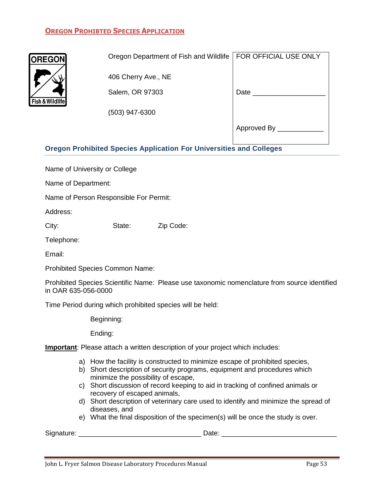# <span id="page-52-0"></span>**OREGON PROHIBTED SPECIES APPLICATION**



| Oregon Department of Fish and Wildlife   FOR OFFICIAL USE ONLY |             |
|----------------------------------------------------------------|-------------|
|                                                                |             |
| 406 Cherry Ave., NE                                            |             |
| Salem, OR 97303                                                | Date        |
|                                                                |             |
| $(503)$ 947-6300                                               |             |
|                                                                | Approved By |

# **Oregon Prohibited Species Application For Universities and Colleges**

Name of University or College

Name of Department:

Name of Person Responsible For Permit:

Address:

City: State: Zip Code:

Telephone:

Email:

Prohibited Species Common Name:

Prohibited Species Scientific Name: Please use taxonomic nomenclature from source identified in OAR 635-056-0000

Time Period during which prohibited species will be held:

Beginning:

Ending:

**Important**: Please attach a written description of your project which includes:

- a) How the facility is constructed to minimize escape of prohibited species,
- b) Short description of security programs, equipment and procedures which minimize the possibility of escape,
- c) Short discussion of record keeping to aid in tracking of confined animals or recovery of escaped animals,
- d) Short description of veterinary care used to identify and minimize the spread of diseases, and
- e) What the final disposition of the specimen(s) will be once the study is over.

Signature: \_\_\_\_\_\_\_\_\_\_\_\_\_\_\_\_\_\_\_\_\_\_\_\_\_\_\_\_\_\_\_\_ Date: \_\_\_\_\_\_\_\_\_\_\_\_\_\_\_\_\_\_\_\_\_\_\_\_\_\_\_\_\_\_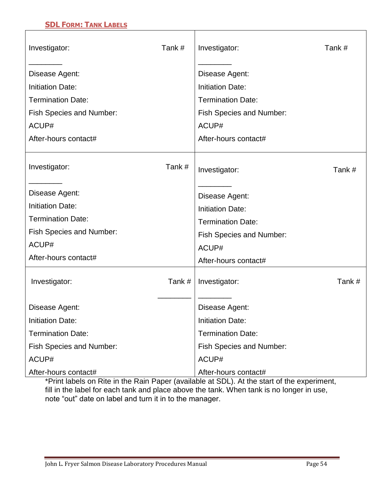# <span id="page-53-0"></span>**SDL FORM: TANK LABELS**

 $\Gamma$ 

| Investigator:                   | Tank#  | Investigator:                   | Tank # |
|---------------------------------|--------|---------------------------------|--------|
| Disease Agent:                  |        | Disease Agent:                  |        |
| <b>Initiation Date:</b>         |        | <b>Initiation Date:</b>         |        |
| <b>Termination Date:</b>        |        | <b>Termination Date:</b>        |        |
| <b>Fish Species and Number:</b> |        | <b>Fish Species and Number:</b> |        |
| ACUP#                           |        | ACUP#                           |        |
| After-hours contact#            |        | After-hours contact#            |        |
| Investigator:                   | Tank#  | Investigator:                   | Tank#  |
| Disease Agent:                  |        | Disease Agent:                  |        |
| <b>Initiation Date:</b>         |        | <b>Initiation Date:</b>         |        |
| <b>Termination Date:</b>        |        | <b>Termination Date:</b>        |        |
| <b>Fish Species and Number:</b> |        | <b>Fish Species and Number:</b> |        |
| ACUP#                           |        | ACUP#                           |        |
| After-hours contact#            |        | After-hours contact#            |        |
| Investigator:                   | Tank # | Investigator:                   | Tank#  |
| Disease Agent:                  |        | Disease Agent:                  |        |
| <b>Initiation Date:</b>         |        | <b>Initiation Date:</b>         |        |
| <b>Termination Date:</b>        |        | <b>Termination Date:</b>        |        |
| <b>Fish Species and Number:</b> |        | <b>Fish Species and Number:</b> |        |
| ACUP#                           |        | ACUP#                           |        |
| After-hours contact#            |        | After-hours contact#            |        |

Τ

\*Print labels on Rite in the Rain Paper (available at SDL). At the start of the experiment, fill in the label for each tank and place above the tank. When tank is no longer in use, note "out" date on label and turn it in to the manager.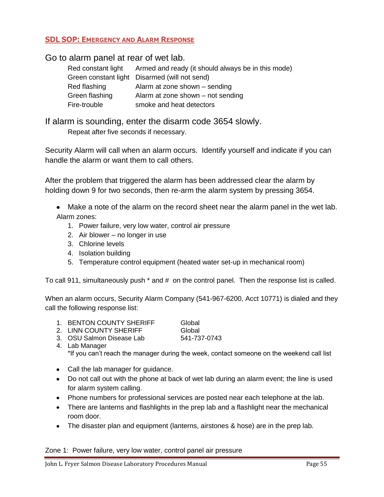# <span id="page-54-0"></span>**SDL SOP: EMERGENCY AND ALARM RESPONSE**

Go to alarm panel at rear of wet lab.

| Red constant light | Armed and ready (it should always be in this mode) |
|--------------------|----------------------------------------------------|
|                    | Green constant light Disarmed (will not send)      |
| Red flashing       | Alarm at zone shown – sending                      |
| Green flashing     | Alarm at zone shown – not sending                  |
| Fire-trouble       | smoke and heat detectors                           |

If alarm is sounding, enter the disarm code 3654 slowly. Repeat after five seconds if necessary.

Security Alarm will call when an alarm occurs. Identify yourself and indicate if you can handle the alarm or want them to call others.

After the problem that triggered the alarm has been addressed clear the alarm by holding down 9 for two seconds, then re-arm the alarm system by pressing 3654.

Make a note of the alarm on the record sheet near the alarm panel in the wet lab. Alarm zones:

- 1. Power failure, very low water, control air pressure
- 2. Air blower no longer in use
- 3. Chlorine levels
- 4. Isolation building
- 5. Temperature control equipment (heated water set-up in mechanical room)

To call 911, simultaneously push \* and # on the control panel. Then the response list is called.

When an alarm occurs, Security Alarm Company (541-967-6200, Acct 10771) is dialed and they call the following response list:

- 1. BENTON COUNTY SHERIFF Global
- 2 LINN COUNTY SHERIFF Global

- 3. OSU Salmon Disease Lab 541-737-0743
- 4. Lab Manager \*If you can't reach the manager during the week, contact someone on the weekend call list
- Call the lab manager for guidance.
- Do not call out with the phone at back of wet lab during an alarm event; the line is used for alarm system calling.
- Phone numbers for professional services are posted near each telephone at the lab.
- There are lanterns and flashlights in the prep lab and a flashlight near the mechanical room door.
- The disaster plan and equipment (lanterns, airstones & hose) are in the prep lab.

Zone 1: Power failure, very low water, control panel air pressure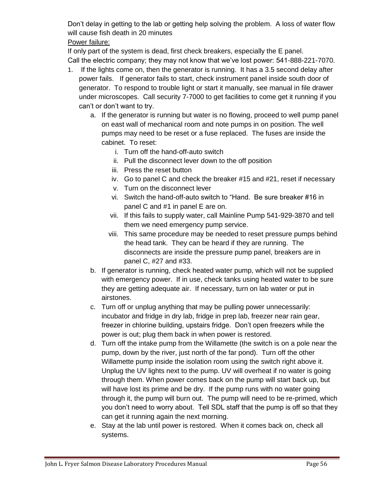Don't delay in getting to the lab or getting help solving the problem. A loss of water flow will cause fish death in 20 minutes

# Power failure:

If only part of the system is dead, first check breakers, especially the E panel. Call the electric company; they may not know that we've lost power: 541-888-221-7070.

- 1. If the lights come on, then the generator is running. It has a 3.5 second delay after power fails. If generator fails to start, check instrument panel inside south door of generator. To respond to trouble light or start it manually, see manual in file drawer under microscopes. Call security 7-7000 to get facilities to come get it running if you can't or don't want to try.
	- a. If the generator is running but water is no flowing, proceed to well pump panel on east wall of mechanical room and note pumps in on position. The well pumps may need to be reset or a fuse replaced. The fuses are inside the cabinet. To reset:
		- i. Turn off the hand-off-auto switch
		- ii. Pull the disconnect lever down to the off position
		- iii. Press the reset button
		- iv. Go to panel C and check the breaker #15 and #21, reset if necessary
		- v. Turn on the disconnect lever
		- vi. Switch the hand-off-auto switch to "Hand. Be sure breaker #16 in panel C and #1 in panel E are on.
		- vii. If this fails to supply water, call Mainline Pump 541-929-3870 and tell them we need emergency pump service.
		- viii. This same procedure may be needed to reset pressure pumps behind the head tank. They can be heard if they are running. The disconnects are inside the pressure pump panel, breakers are in panel C, #27 and #33.
	- b. If generator is running, check heated water pump, which will not be supplied with emergency power. If in use, check tanks using heated water to be sure they are getting adequate air. If necessary, turn on lab water or put in airstones.
	- c. Turn off or unplug anything that may be pulling power unnecessarily: incubator and fridge in dry lab, fridge in prep lab, freezer near rain gear, freezer in chlorine building, upstairs fridge. Don't open freezers while the power is out; plug them back in when power is restored.
	- d. Turn off the intake pump from the Willamette (the switch is on a pole near the pump, down by the river, just north of the far pond). Turn off the other Willamette pump inside the isolation room using the switch right above it. Unplug the UV lights next to the pump. UV will overheat if no water is going through them. When power comes back on the pump will start back up, but will have lost its prime and be dry. If the pump runs with no water going through it, the pump will burn out. The pump will need to be re-primed, which you don't need to worry about. Tell SDL staff that the pump is off so that they can get it running again the next morning.
	- e. Stay at the lab until power is restored. When it comes back on, check all systems.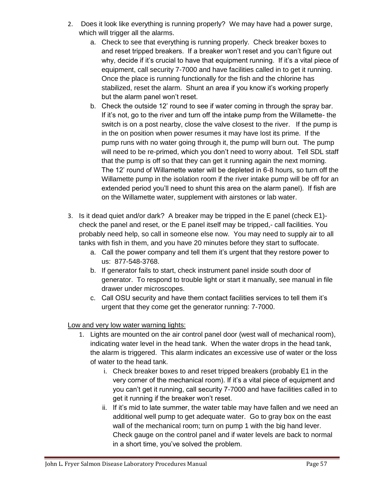- 2. Does it look like everything is running properly? We may have had a power surge, which will trigger all the alarms.
	- a. Check to see that everything is running properly. Check breaker boxes to and reset tripped breakers. If a breaker won't reset and you can't figure out why, decide if it's crucial to have that equipment running. If it's a vital piece of equipment, call security 7-7000 and have facilities called in to get it running. Once the place is running functionally for the fish and the chlorine has stabilized, reset the alarm. Shunt an area if you know it's working properly but the alarm panel won't reset.
	- b. Check the outside 12' round to see if water coming in through the spray bar. If it's not, go to the river and turn off the intake pump from the Willamette- the switch is on a post nearby, close the valve closest to the river. If the pump is in the on position when power resumes it may have lost its prime. If the pump runs with no water going through it, the pump will burn out. The pump will need to be re-primed, which you don't need to worry about. Tell SDL staff that the pump is off so that they can get it running again the next morning. The 12' round of Willamette water will be depleted in 6-8 hours, so turn off the Willamette pump in the isolation room if the river intake pump will be off for an extended period you'll need to shunt this area on the alarm panel). If fish are on the Willamette water, supplement with airstones or lab water.
- 3. Is it dead quiet and/or dark? A breaker may be tripped in the E panel (check E1) check the panel and reset, or the E panel itself may be tripped,- call facilities. You probably need help, so call in someone else now. You may need to supply air to all tanks with fish in them, and you have 20 minutes before they start to suffocate.
	- a. Call the power company and tell them it's urgent that they restore power to us: 877-548-3768.
	- b. If generator fails to start, check instrument panel inside south door of generator. To respond to trouble light or start it manually, see manual in file drawer under microscopes.
	- c. Call OSU security and have them contact facilities services to tell them it's urgent that they come get the generator running: 7-7000.

Low and very low water warning lights:

- 1. Lights are mounted on the air control panel door (west wall of mechanical room), indicating water level in the head tank. When the water drops in the head tank, the alarm is triggered. This alarm indicates an excessive use of water or the loss of water to the head tank.
	- i. Check breaker boxes to and reset tripped breakers (probably E1 in the very corner of the mechanical room). If it's a vital piece of equipment and you can't get it running, call security 7-7000 and have facilities called in to get it running if the breaker won't reset.
	- ii. If it's mid to late summer, the water table may have fallen and we need an additional well pump to get adequate water. Go to gray box on the east wall of the mechanical room; turn on pump 1 with the big hand lever. Check gauge on the control panel and if water levels are back to normal in a short time, you've solved the problem.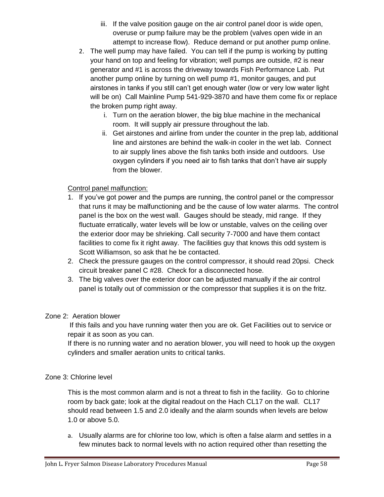- iii. If the valve position gauge on the air control panel door is wide open, overuse or pump failure may be the problem (valves open wide in an attempt to increase flow). Reduce demand or put another pump online.
- 2. The well pump may have failed. You can tell if the pump is working by putting your hand on top and feeling for vibration; well pumps are outside, #2 is near generator and #1 is across the driveway towards Fish Performance Lab. Put another pump online by turning on well pump #1, monitor gauges, and put airstones in tanks if you still can't get enough water (low or very low water light will be on) Call Mainline Pump 541-929-3870 and have them come fix or replace the broken pump right away.
	- i. Turn on the aeration blower, the big blue machine in the mechanical room. It will supply air pressure throughout the lab.
	- ii. Get airstones and airline from under the counter in the prep lab, additional line and airstones are behind the walk-in cooler in the wet lab. Connect to air supply lines above the fish tanks both inside and outdoors. Use oxygen cylinders if you need air to fish tanks that don't have air supply from the blower.

# Control panel malfunction:

- 1. If you've got power and the pumps are running, the control panel or the compressor that runs it may be malfunctioning and be the cause of low water alarms. The control panel is the box on the west wall. Gauges should be steady, mid range. If they fluctuate erratically, water levels will be low or unstable, valves on the ceiling over the exterior door may be shrieking. Call security 7-7000 and have them contact facilities to come fix it right away. The facilities guy that knows this odd system is Scott Williamson, so ask that he be contacted.
- 2. Check the pressure gauges on the control compressor, it should read 20psi. Check circuit breaker panel C #28. Check for a disconnected hose.
- 3. The big valves over the exterior door can be adjusted manually if the air control panel is totally out of commission or the compressor that supplies it is on the fritz.

# Zone 2: Aeration blower

If this fails and you have running water then you are ok. Get Facilities out to service or repair it as soon as you can.

If there is no running water and no aeration blower, you will need to hook up the oxygen cylinders and smaller aeration units to critical tanks.

# Zone 3: Chlorine level

This is the most common alarm and is not a threat to fish in the facility. Go to chlorine room by back gate; look at the digital readout on the Hach CL17 on the wall. CL17 should read between 1.5 and 2.0 ideally and the alarm sounds when levels are below 1.0 or above 5.0.

a. Usually alarms are for chlorine too low, which is often a false alarm and settles in a few minutes back to normal levels with no action required other than resetting the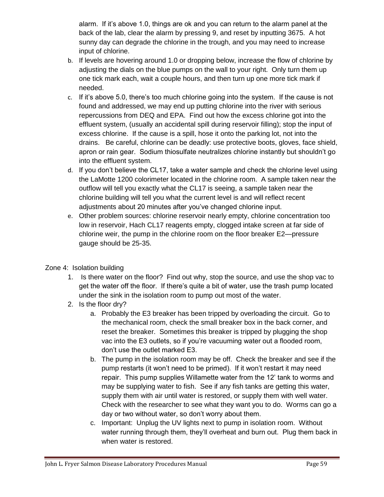alarm. If it's above 1.0, things are ok and you can return to the alarm panel at the back of the lab, clear the alarm by pressing 9, and reset by inputting 3675. A hot sunny day can degrade the chlorine in the trough, and you may need to increase input of chlorine.

- b. If levels are hovering around 1.0 or dropping below, increase the flow of chlorine by adjusting the dials on the blue pumps on the wall to your right. Only turn them up one tick mark each, wait a couple hours, and then turn up one more tick mark if needed.
- c. If it's above 5.0, there's too much chlorine going into the system. If the cause is not found and addressed, we may end up putting chlorine into the river with serious repercussions from DEQ and EPA. Find out how the excess chlorine got into the effluent system, (usually an accidental spill during reservoir filling); stop the input of excess chlorine. If the cause is a spill, hose it onto the parking lot, not into the drains. Be careful, chlorine can be deadly: use protective boots, gloves, face shield, apron or rain gear. Sodium thiosulfate neutralizes chlorine instantly but shouldn't go into the effluent system.
- d. If you don't believe the CL17, take a water sample and check the chlorine level using the LaMotte 1200 colorimeter located in the chlorine room. A sample taken near the outflow will tell you exactly what the CL17 is seeing, a sample taken near the chlorine building will tell you what the current level is and will reflect recent adjustments about 20 minutes after you've changed chlorine input.
- e. Other problem sources: chlorine reservoir nearly empty, chlorine concentration too low in reservoir, Hach CL17 reagents empty, clogged intake screen at far side of chlorine weir, the pump in the chlorine room on the floor breaker E2—pressure gauge should be 25-35.
- Zone 4: Isolation building
	- 1. Is there water on the floor? Find out why, stop the source, and use the shop vac to get the water off the floor. If there's quite a bit of water, use the trash pump located under the sink in the isolation room to pump out most of the water.
	- 2. Is the floor dry?
		- a. Probably the E3 breaker has been tripped by overloading the circuit. Go to the mechanical room, check the small breaker box in the back corner, and reset the breaker. Sometimes this breaker is tripped by plugging the shop vac into the E3 outlets, so if you're vacuuming water out a flooded room, don't use the outlet marked E3.
		- b. The pump in the isolation room may be off. Check the breaker and see if the pump restarts (it won't need to be primed). If it won't restart it may need repair. This pump supplies Willamette water from the 12' tank to worms and may be supplying water to fish. See if any fish tanks are getting this water, supply them with air until water is restored, or supply them with well water. Check with the researcher to see what they want you to do. Worms can go a day or two without water, so don't worry about them.
		- c. Important: Unplug the UV lights next to pump in isolation room. Without water running through them, they'll overheat and burn out. Plug them back in when water is restored.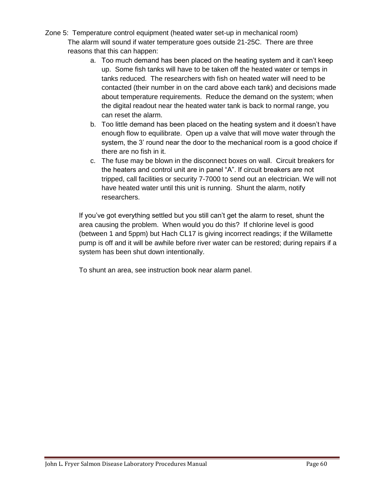- Zone 5: Temperature control equipment (heated water set-up in mechanical room) The alarm will sound if water temperature goes outside 21-25C. There are three reasons that this can happen:
	- a. Too much demand has been placed on the heating system and it can't keep up. Some fish tanks will have to be taken off the heated water or temps in tanks reduced. The researchers with fish on heated water will need to be contacted (their number in on the card above each tank) and decisions made about temperature requirements. Reduce the demand on the system; when the digital readout near the heated water tank is back to normal range, you can reset the alarm.
	- b. Too little demand has been placed on the heating system and it doesn't have enough flow to equilibrate. Open up a valve that will move water through the system, the 3' round near the door to the mechanical room is a good choice if there are no fish in it.
	- c. The fuse may be blown in the disconnect boxes on wall. Circuit breakers for the heaters and control unit are in panel "A". If circuit breakers are not tripped, call facilities or security 7-7000 to send out an electrician. We will not have heated water until this unit is running. Shunt the alarm, notify researchers.

If you've got everything settled but you still can't get the alarm to reset, shunt the area causing the problem. When would you do this? If chlorine level is good (between 1 and 5ppm) but Hach CL17 is giving incorrect readings; if the Willamette pump is off and it will be awhile before river water can be restored; during repairs if a system has been shut down intentionally.

To shunt an area, see instruction book near alarm panel.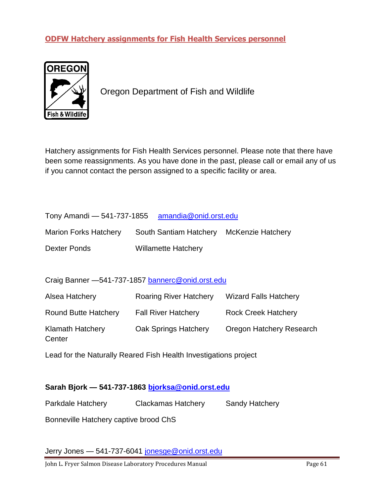# <span id="page-60-0"></span>**ODFW Hatchery assignments for Fish Health Services personnel**



<span id="page-60-1"></span>Oregon Department of Fish and Wildlife

Hatchery assignments for Fish Health Services personnel. Please note that there have been some reassignments. As you have done in the past, please call or email any of us if you cannot contact the person assigned to a specific facility or area.

| Tony Amandi - 541-737-1855 | amandia@onid.orst.edu |
|----------------------------|-----------------------|
|----------------------------|-----------------------|

| <b>Marion Forks Hatchery</b> | South Santiam Hatchery McKenzie Hatchery |  |
|------------------------------|------------------------------------------|--|
| Dexter Ponds                 | <b>Willamette Hatchery</b>               |  |

Craig Banner —541-737-1857 bannerc@onid.orst.edu

| Alsea Hatchery                    | <b>Roaring River Hatchery</b> | <b>Wizard Falls Hatchery</b> |
|-----------------------------------|-------------------------------|------------------------------|
| <b>Round Butte Hatchery</b>       | <b>Fall River Hatchery</b>    | <b>Rock Creek Hatchery</b>   |
| <b>Klamath Hatchery</b><br>Center | Oak Springs Hatchery          | Oregon Hatchery Research     |

Lead for the Naturally Reared Fish Health Investigations project

# **Sarah Bjork — 541-737-1863 [bjorksa@onid.orst.edu](mailto:sharon.m.vendshus@state.or.us)**

Parkdale Hatchery Clackamas Hatchery Sandy Hatchery

Bonneville Hatchery captive brood ChS

Jerry Jones - 541-737-6041 jonesge@onid.orst.edu

John L. Fryer Salmon Disease Laboratory Procedures Manual Page 61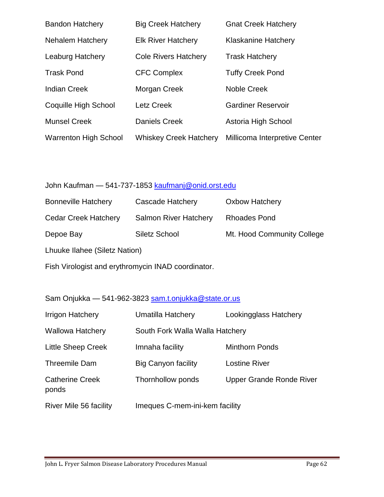| <b>Bandon Hatchery</b>       | <b>Big Creek Hatchery</b>     | <b>Gnat Creek Hatchery</b>    |
|------------------------------|-------------------------------|-------------------------------|
| <b>Nehalem Hatchery</b>      | <b>Elk River Hatchery</b>     | <b>Klaskanine Hatchery</b>    |
| <b>Leaburg Hatchery</b>      | <b>Cole Rivers Hatchery</b>   | <b>Trask Hatchery</b>         |
| <b>Trask Pond</b>            | <b>CFC Complex</b>            | <b>Tuffy Creek Pond</b>       |
| <b>Indian Creek</b>          | Morgan Creek                  | Noble Creek                   |
| Coquille High School         | <b>Letz Creek</b>             | <b>Gardiner Reservoir</b>     |
| <b>Munsel Creek</b>          | <b>Daniels Creek</b>          | Astoria High School           |
| <b>Warrenton High School</b> | <b>Whiskey Creek Hatchery</b> | Millicoma Interpretive Center |

# John Kaufman - 541-737-1853 kaufmanj@onid.orst.edu

| <b>Bonneville Hatchery</b>    | Cascade Hatchery             | <b>Oxbow Hatchery</b>      |  |  |
|-------------------------------|------------------------------|----------------------------|--|--|
| <b>Cedar Creek Hatchery</b>   | <b>Salmon River Hatchery</b> | Rhoades Pond               |  |  |
| Depoe Bay                     | Siletz School                | Mt. Hood Community College |  |  |
| Lhuuke Ilahee (Siletz Nation) |                              |                            |  |  |

Fish Virologist and erythromycin INAD coordinator.

# Sam Onjukka — 541-962-3823 sam.t.onjukka@state.or.us

| Irrigon Hatchery                | Umatilla Hatchery               | Lookingglass Hatchery           |
|---------------------------------|---------------------------------|---------------------------------|
| <b>Wallowa Hatchery</b>         | South Fork Walla Walla Hatchery |                                 |
| <b>Little Sheep Creek</b>       | Imnaha facility                 | <b>Minthorn Ponds</b>           |
| <b>Threemile Dam</b>            | <b>Big Canyon facility</b>      | <b>Lostine River</b>            |
| <b>Catherine Creek</b><br>ponds | Thornhollow ponds               | <b>Upper Grande Ronde River</b> |
| River Mile 56 facility          | Imeques C-mem-ini-kem facility  |                                 |